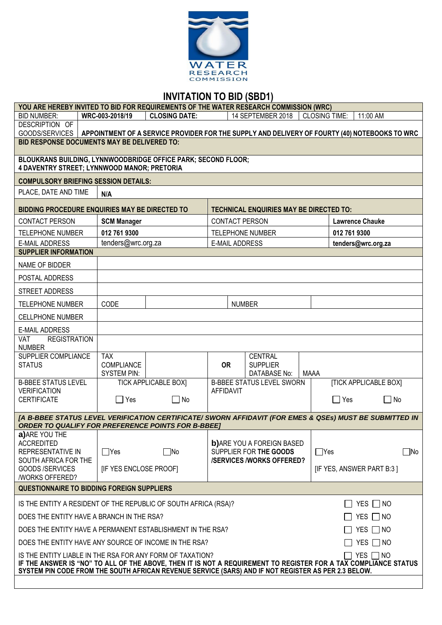

# **INVITATION TO BID (SBD1)**

| YOU ARE HEREBY INVITED TO BID FOR REQUIREMENTS OF THE WATER RESEARCH COMMISSION (WRC)                                                                                                                                                                                                                              |                                  |                                                                                               |                         |                                                             |                      |                              |               |
|--------------------------------------------------------------------------------------------------------------------------------------------------------------------------------------------------------------------------------------------------------------------------------------------------------------------|----------------------------------|-----------------------------------------------------------------------------------------------|-------------------------|-------------------------------------------------------------|----------------------|------------------------------|---------------|
| <b>BID NUMBER:</b>                                                                                                                                                                                                                                                                                                 | WRC-003-2018/19                  | <b>CLOSING DATE:</b>                                                                          |                         | 14 SEPTEMBER 2018                                           | <b>CLOSING TIME:</b> | 11:00 AM                     |               |
| DESCRIPTION OF<br>GOODS/SERVICES                                                                                                                                                                                                                                                                                   |                                  | APPOINTMENT OF A SERVICE PROVIDER FOR THE SUPPLY AND DELIVERY OF FOURTY (40) NOTEBOOKS TO WRC |                         |                                                             |                      |                              |               |
| <b>BID RESPONSE DOCUMENTS MAY BE DELIVERED TO:</b>                                                                                                                                                                                                                                                                 |                                  |                                                                                               |                         |                                                             |                      |                              |               |
| BLOUKRANS BUILDING, LYNNWOODBRIDGE OFFICE PARK; SECOND FLOOR;<br>4 DAVENTRY STREET; LYNNWOOD MANOR; PRETORIA                                                                                                                                                                                                       |                                  |                                                                                               |                         |                                                             |                      |                              |               |
| <b>COMPULSORY BRIEFING SESSION DETAILS:</b>                                                                                                                                                                                                                                                                        |                                  |                                                                                               |                         |                                                             |                      |                              |               |
| PLACE, DATE AND TIME                                                                                                                                                                                                                                                                                               | N/A                              |                                                                                               |                         |                                                             |                      |                              |               |
| BIDDING PROCEDURE ENQUIRIES MAY BE DIRECTED TO                                                                                                                                                                                                                                                                     |                                  |                                                                                               |                         | <b>TECHNICAL ENQUIRIES MAY BE DIRECTED TO:</b>              |                      |                              |               |
| <b>CONTACT PERSON</b>                                                                                                                                                                                                                                                                                              | <b>SCM Manager</b>               |                                                                                               | <b>CONTACT PERSON</b>   |                                                             |                      | <b>Lawrence Chauke</b>       |               |
| <b>TELEPHONE NUMBER</b>                                                                                                                                                                                                                                                                                            | 012 761 9300                     |                                                                                               | <b>TELEPHONE NUMBER</b> |                                                             |                      | 012 761 9300                 |               |
| <b>E-MAIL ADDRESS</b>                                                                                                                                                                                                                                                                                              | tenders@wrc.org.za               |                                                                                               | <b>E-MAIL ADDRESS</b>   |                                                             |                      | tenders@wrc.org.za           |               |
| <b>SUPPLIER INFORMATION</b>                                                                                                                                                                                                                                                                                        |                                  |                                                                                               |                         |                                                             |                      |                              |               |
| NAME OF BIDDER                                                                                                                                                                                                                                                                                                     |                                  |                                                                                               |                         |                                                             |                      |                              |               |
| POSTAL ADDRESS                                                                                                                                                                                                                                                                                                     |                                  |                                                                                               |                         |                                                             |                      |                              |               |
| <b>STREET ADDRESS</b>                                                                                                                                                                                                                                                                                              |                                  |                                                                                               |                         |                                                             |                      |                              |               |
| <b>TELEPHONE NUMBER</b>                                                                                                                                                                                                                                                                                            | CODE                             |                                                                                               | <b>NUMBER</b>           |                                                             |                      |                              |               |
| <b>CELLPHONE NUMBER</b>                                                                                                                                                                                                                                                                                            |                                  |                                                                                               |                         |                                                             |                      |                              |               |
| <b>E-MAIL ADDRESS</b>                                                                                                                                                                                                                                                                                              |                                  |                                                                                               |                         |                                                             |                      |                              |               |
| VAT<br><b>REGISTRATION</b><br><b>NUMBER</b>                                                                                                                                                                                                                                                                        |                                  |                                                                                               |                         |                                                             |                      |                              |               |
| SUPPLIER COMPLIANCE                                                                                                                                                                                                                                                                                                | <b>TAX</b>                       |                                                                                               |                         | <b>CENTRAL</b>                                              |                      |                              |               |
| <b>STATUS</b>                                                                                                                                                                                                                                                                                                      | COMPLIANCE<br><b>SYSTEM PIN:</b> |                                                                                               | <b>OR</b>               | <b>SUPPLIER</b><br>DATABASE No:                             | <b>MAAA</b>          |                              |               |
| <b>B-BBEE STATUS LEVEL</b>                                                                                                                                                                                                                                                                                         |                                  | <b>TICK APPLICABLE BOX]</b>                                                                   |                         | <b>B-BBEE STATUS LEVEL SWORN</b>                            |                      | <b>[TICK APPLICABLE BOX]</b> |               |
| <b>VERIFICATION</b><br><b>CERTIFICATE</b>                                                                                                                                                                                                                                                                          | $\Box$ Yes                       | $\Box$ No                                                                                     | <b>AFFIDAVIT</b>        |                                                             |                      | $\sqcap$ Yes                 | $\Box$ No     |
|                                                                                                                                                                                                                                                                                                                    |                                  |                                                                                               |                         |                                                             |                      |                              |               |
| [A B-BBEE STATUS LEVEL VERIFICATION CERTIFICATE/ SWORN AFFIDAVIT (FOR EMES & QSEs) MUST BE SUBMITTED IN<br><b>ORDER TO QUALIFY FOR PREFERENCE POINTS FOR B-BBEET</b>                                                                                                                                               |                                  |                                                                                               |                         |                                                             |                      |                              |               |
| a) ARE YOU THE                                                                                                                                                                                                                                                                                                     |                                  |                                                                                               |                         |                                                             |                      |                              |               |
| <b>ACCREDITED</b><br>REPRESENTATIVE IN                                                                                                                                                                                                                                                                             | $\Box$ Yes                       | $\Box$ No                                                                                     |                         | <b>b)</b> ARE YOU A FOREIGN BASED<br>SUPPLIER FOR THE GOODS | $\Box$ Yes           |                              | $\Box$ No     |
| SOUTH AFRICA FOR THE                                                                                                                                                                                                                                                                                               |                                  |                                                                                               |                         | <b>/SERVICES/WORKS OFFERED?</b>                             |                      |                              |               |
| GOODS/SERVICES<br><b>/WORKS OFFERED?</b>                                                                                                                                                                                                                                                                           | [IF YES ENCLOSE PROOF]           |                                                                                               |                         |                                                             |                      | [IF YES, ANSWER PART B:3]    |               |
| <b>QUESTIONNAIRE TO BIDDING FOREIGN SUPPLIERS</b>                                                                                                                                                                                                                                                                  |                                  |                                                                                               |                         |                                                             |                      |                              |               |
| YES $\Box$ NO<br>IS THE ENTITY A RESIDENT OF THE REPUBLIC OF SOUTH AFRICA (RSA)?                                                                                                                                                                                                                                   |                                  |                                                                                               |                         |                                                             |                      |                              |               |
| DOES THE ENTITY HAVE A BRANCH IN THE RSA?<br>YES $\Box$ NO                                                                                                                                                                                                                                                         |                                  |                                                                                               |                         |                                                             |                      |                              |               |
| DOES THE ENTITY HAVE A PERMANENT ESTABLISHMENT IN THE RSA?<br>YES $\Box$ NO                                                                                                                                                                                                                                        |                                  |                                                                                               |                         |                                                             |                      |                              |               |
| DOES THE ENTITY HAVE ANY SOURCE OF INCOME IN THE RSA?                                                                                                                                                                                                                                                              |                                  |                                                                                               |                         |                                                             |                      |                              | YES $\Box$ NO |
| $\sqsupset$ yes $\sqcap$ no<br>IS THE ENTITY LIABLE IN THE RSA FOR ANY FORM OF TAXATION?<br>IF THE ANSWER IS "NO" TO ALL OF THE ABOVE, THEN IT IS NOT A REQUIREMENT TO REGISTER FOR A TAX COMPLIANCE STATUS<br>SYSTEM PIN CODE FROM THE SOUTH AFRICAN REVENUE SERVICE (SARS) AND IF NOT REGISTER AS PER 2.3 BELOW. |                                  |                                                                                               |                         |                                                             |                      |                              |               |
|                                                                                                                                                                                                                                                                                                                    |                                  |                                                                                               |                         |                                                             |                      |                              |               |

 $\overline{\phantom{a}}$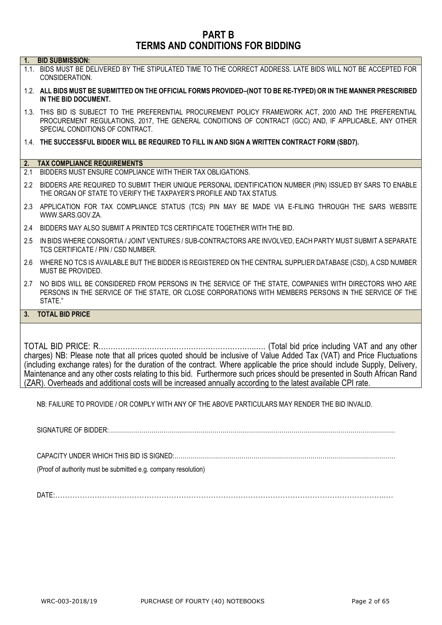# **PART B TERMS AND CONDITIONS FOR BIDDING**

| 1.  | <b>BID SUBMISSION:</b>                                                                                                                                                                                                                               |
|-----|------------------------------------------------------------------------------------------------------------------------------------------------------------------------------------------------------------------------------------------------------|
|     | 1.1. BIDS MUST BE DELIVERED BY THE STIPULATED TIME TO THE CORRECT ADDRESS. LATE BIDS WILL NOT BE ACCEPTED FOR<br>CONSIDERATION.                                                                                                                      |
|     | 1.2. ALL BIDS MUST BE SUBMITTED ON THE OFFICIAL FORMS PROVIDED-(NOT TO BE RE-TYPED) OR IN THE MANNER PRESCRIBED<br>IN THE BID DOCUMENT.                                                                                                              |
|     | 1.3. THIS BID IS SUBJECT TO THE PREFERENTIAL PROCUREMENT POLICY FRAMEWORK ACT, 2000 AND THE PREFERENTIAL<br>PROCUREMENT REGULATIONS, 2017, THE GENERAL CONDITIONS OF CONTRACT (GCC) AND, IF APPLICABLE, ANY OTHER<br>SPECIAL CONDITIONS OF CONTRACT. |
|     | 1.4. THE SUCCESSFUL BIDDER WILL BE REQUIRED TO FILL IN AND SIGN A WRITTEN CONTRACT FORM (SBD7).                                                                                                                                                      |
|     | 2. TAX COMPLIANCE REQUIREMENTS                                                                                                                                                                                                                       |
| 2.1 | BIDDERS MUST ENSURE COMPLIANCE WITH THEIR TAX OBLIGATIONS.                                                                                                                                                                                           |
|     |                                                                                                                                                                                                                                                      |
|     | 2.2 BIDDERS ARE REQUIRED TO SUBMIT THEIR UNIQUE PERSONAL IDENTIFICATION NUMBER (PIN) ISSUED BY SARS TO ENABLE<br>THE ORGAN OF STATE TO VERIFY THE TAXPAYER'S PROFILE AND TAX STATUS.                                                                 |
|     | 2.3 APPLICATION FOR TAX COMPLIANCE STATUS (TCS) PIN MAY BE MADE VIA E-FILING THROUGH THE SARS WEBSITE<br>WWW.SARS.GOV.ZA.                                                                                                                            |
|     | 2.4 BIDDERS MAY ALSO SUBMIT A PRINTED TCS CERTIFICATE TOGETHER WITH THE BID.                                                                                                                                                                         |
| 2.5 | IN BIDS WHERE CONSORTIA / JOINT VENTURES / SUB-CONTRACTORS ARE INVOLVED, EACH PARTY MUST SUBMIT A SEPARATE<br>TCS CERTIFICATE / PIN / CSD NUMBER.                                                                                                    |
|     | 2.6 WHERE NO TCS IS AVAILABLE BUT THE BIDDER IS REGISTERED ON THE CENTRAL SUPPLIER DATABASE (CSD), A CSD NUMBER<br>MUST BE PROVIDED.                                                                                                                 |
|     | 2.7 NO BIDS WILL BE CONSIDERED FROM PERSONS IN THE SERVICE OF THE STATE, COMPANIES WITH DIRECTORS WHO ARE<br>PERSONS IN THE SERVICE OF THE STATE, OR CLOSE CORPORATIONS WITH MEMBERS PERSONS IN THE SERVICE OF THE<br>STATE."                        |
|     | 3. TOTAL BID PRICE                                                                                                                                                                                                                                   |
|     |                                                                                                                                                                                                                                                      |
|     |                                                                                                                                                                                                                                                      |
|     |                                                                                                                                                                                                                                                      |
|     | charge) NR: Places note that all prices quoted should be inclusive of Value Added Tay (VAT) and Price Fluctuations                                                                                                                                   |

charges) NB: Please note that all prices quoted should be inclusive of Value Added Tax (VAT) and Price Fluctuations (including exchange rates) for the duration of the contract. Where applicable the price should include Supply, Delivery, Maintenance and any other costs relating to this bid. Furthermore such prices should be presented in South African Rand (ZAR). Overheads and additional costs will be increased annually according to the latest available CPI rate.

NB: FAILURE TO PROVIDE / OR COMPLY WITH ANY OF THE ABOVE PARTICULARS MAY RENDER THE BID INVALID.

SIGNATURE OF BIDDER:……………………………………………………………………………………………………………………………

CAPACITY UNDER WHICH THIS BID IS SIGNED:……………………………………………………………………………….………………

(Proof of authority must be submitted e.g. company resolution)

DATE:……………………………………………………………………………………………………………………..…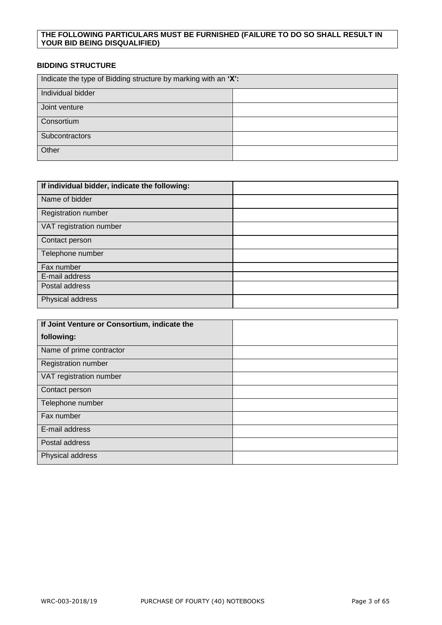# **THE FOLLOWING PARTICULARS MUST BE FURNISHED (FAILURE TO DO SO SHALL RESULT IN YOUR BID BEING DISQUALIFIED)**

# **BIDDING STRUCTURE**

| Indicate the type of Bidding structure by marking with an 'X': |  |  |
|----------------------------------------------------------------|--|--|
| Individual bidder                                              |  |  |
| Joint venture                                                  |  |  |
| Consortium                                                     |  |  |
| Subcontractors                                                 |  |  |
| Other                                                          |  |  |

| If individual bidder, indicate the following: |  |
|-----------------------------------------------|--|
| Name of bidder                                |  |
| Registration number                           |  |
| VAT registration number                       |  |
| Contact person                                |  |
| Telephone number                              |  |
| Fax number                                    |  |
| E-mail address                                |  |
| Postal address                                |  |
| Physical address                              |  |

| If Joint Venture or Consortium, indicate the |  |
|----------------------------------------------|--|
| following:                                   |  |
| Name of prime contractor                     |  |
| <b>Registration number</b>                   |  |
| VAT registration number                      |  |
| Contact person                               |  |
| Telephone number                             |  |
| Fax number                                   |  |
| E-mail address                               |  |
| Postal address                               |  |
| Physical address                             |  |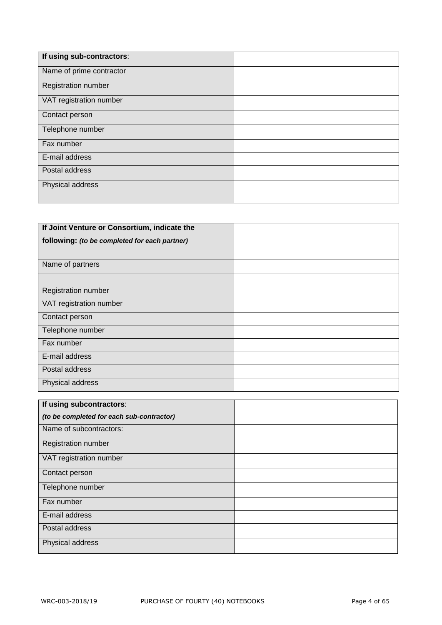| If using sub-contractors:  |  |
|----------------------------|--|
| Name of prime contractor   |  |
| <b>Registration number</b> |  |
| VAT registration number    |  |
| Contact person             |  |
| Telephone number           |  |
| Fax number                 |  |
| E-mail address             |  |
| Postal address             |  |
| Physical address           |  |
|                            |  |

| If Joint Venture or Consortium, indicate the  |  |
|-----------------------------------------------|--|
| following: (to be completed for each partner) |  |
|                                               |  |
| Name of partners                              |  |
|                                               |  |
| <b>Registration number</b>                    |  |
| VAT registration number                       |  |
| Contact person                                |  |
| Telephone number                              |  |
| Fax number                                    |  |
| E-mail address                                |  |
| Postal address                                |  |
| Physical address                              |  |

| If using subcontractors:                  |  |
|-------------------------------------------|--|
| (to be completed for each sub-contractor) |  |
| Name of subcontractors:                   |  |
| Registration number                       |  |
| VAT registration number                   |  |
| Contact person                            |  |
| Telephone number                          |  |
| Fax number                                |  |
| E-mail address                            |  |
| Postal address                            |  |
| Physical address                          |  |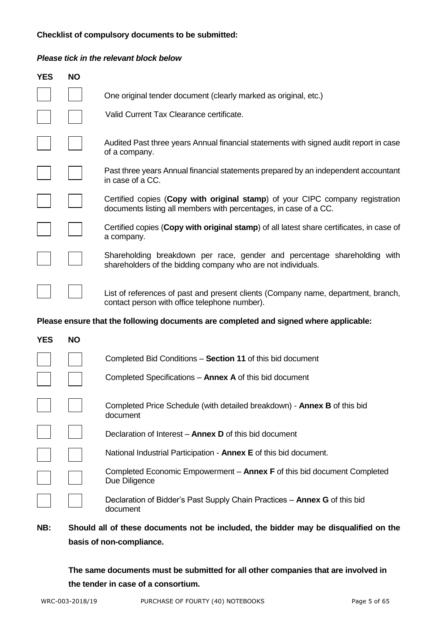# **Checklist of compulsory documents to be submitted:**

# *Please tick in the relevant block below*

| <b>YES</b> | <b>NO</b>                                                                            |                                                                                                                                                   |  |
|------------|--------------------------------------------------------------------------------------|---------------------------------------------------------------------------------------------------------------------------------------------------|--|
|            |                                                                                      | One original tender document (clearly marked as original, etc.)                                                                                   |  |
|            |                                                                                      | Valid Current Tax Clearance certificate.                                                                                                          |  |
|            |                                                                                      | Audited Past three years Annual financial statements with signed audit report in case<br>of a company.                                            |  |
|            |                                                                                      | Past three years Annual financial statements prepared by an independent accountant<br>in case of a CC.                                            |  |
|            |                                                                                      | Certified copies (Copy with original stamp) of your CIPC company registration<br>documents listing all members with percentages, in case of a CC. |  |
|            |                                                                                      | Certified copies (Copy with original stamp) of all latest share certificates, in case of<br>a company.                                            |  |
|            |                                                                                      | Shareholding breakdown per race, gender and percentage shareholding with<br>shareholders of the bidding company who are not individuals.          |  |
|            |                                                                                      | List of references of past and present clients (Company name, department, branch,<br>contact person with office telephone number).                |  |
|            |                                                                                      | Please ensure that the following documents are completed and signed where applicable:                                                             |  |
| <b>YES</b> | <b>NO</b>                                                                            |                                                                                                                                                   |  |
|            |                                                                                      | Completed Bid Conditions - Section 11 of this bid document                                                                                        |  |
|            |                                                                                      | Completed Specifications - Annex A of this bid document                                                                                           |  |
|            |                                                                                      | Completed Price Schedule (with detailed breakdown) - Annex B of this bid<br>document                                                              |  |
|            |                                                                                      | Declaration of Interest - Annex D of this bid document                                                                                            |  |
|            |                                                                                      | National Industrial Participation - Annex E of this bid document.                                                                                 |  |
|            |                                                                                      | Completed Economic Empowerment - Annex F of this bid document Completed<br>Due Diligence                                                          |  |
|            |                                                                                      | Declaration of Bidder's Past Supply Chain Practices - Annex G of this bid<br>document                                                             |  |
| NB:        | Should all of these documents not be included, the bidder may be disqualified on the |                                                                                                                                                   |  |

**basis of non-compliance.**

**The same documents must be submitted for all other companies that are involved in the tender in case of a consortium.**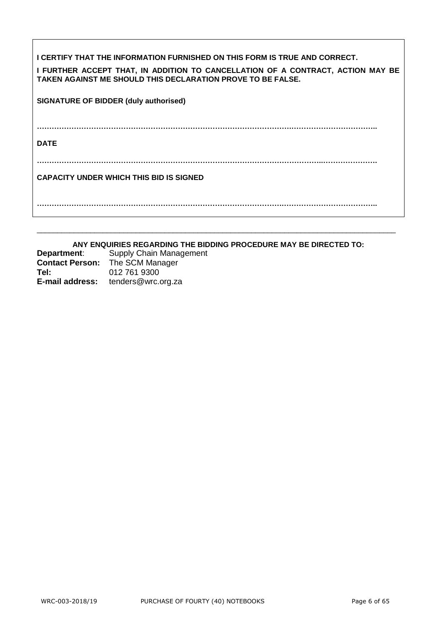| I CERTIFY THAT THE INFORMATION FURNISHED ON THIS FORM IS TRUE AND CORRECT.<br>I FURTHER ACCEPT THAT, IN ADDITION TO CANCELLATION OF A CONTRACT, ACTION MAY BE<br><b>TAKEN AGAINST ME SHOULD THIS DECLARATION PROVE TO BE FALSE.</b> |
|-------------------------------------------------------------------------------------------------------------------------------------------------------------------------------------------------------------------------------------|
| <b>SIGNATURE OF BIDDER (duly authorised)</b>                                                                                                                                                                                        |
| <b>DATE</b>                                                                                                                                                                                                                         |
|                                                                                                                                                                                                                                     |
| <b>CAPACITY UNDER WHICH THIS BID IS SIGNED</b>                                                                                                                                                                                      |
|                                                                                                                                                                                                                                     |

# **ANY ENQUIRIES REGARDING THE BIDDING PROCEDURE MAY BE DIRECTED TO:**

\_\_\_\_\_\_\_\_\_\_\_\_\_\_\_\_\_\_\_\_\_\_\_\_\_\_\_\_\_\_\_\_\_\_\_\_\_\_\_\_\_\_\_\_\_\_\_\_\_\_\_\_\_\_\_\_\_\_\_\_\_\_\_\_\_\_\_\_\_\_\_\_\_\_\_\_\_\_\_\_\_\_\_\_\_\_\_

| Department:            | Supply Chain Management |
|------------------------|-------------------------|
| <b>Contact Person:</b> | The SCM Manager         |
| Tel:                   | 012 761 9300            |
| <b>E-mail address:</b> | tenders@wrc.org.za      |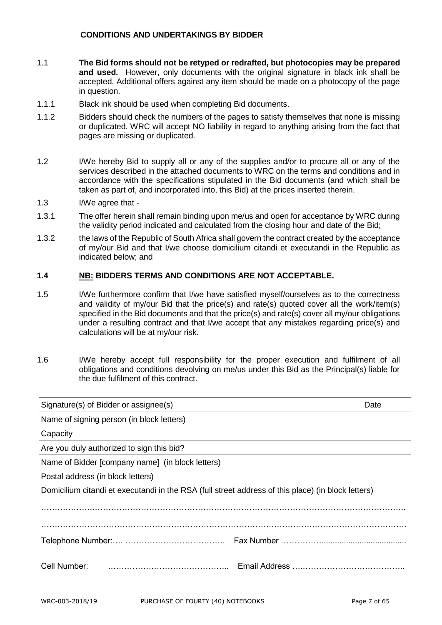# **CONDITIONS AND UNDERTAKINGS BY BIDDER**

- 1.1 **The Bid forms should not be retyped or redrafted, but photocopies may be prepared and used.** However, only documents with the original signature in black ink shall be accepted. Additional offers against any item should be made on a photocopy of the page in question.
- 1.1.1 Black ink should be used when completing Bid documents.
- 1.1.2 Bidders should check the numbers of the pages to satisfy themselves that none is missing or duplicated. WRC will accept NO liability in regard to anything arising from the fact that pages are missing or duplicated.
- 1.2 I/We hereby Bid to supply all or any of the supplies and/or to procure all or any of the services described in the attached documents to WRC on the terms and conditions and in accordance with the specifications stipulated in the Bid documents (and which shall be taken as part of, and incorporated into, this Bid) at the prices inserted therein.
- 1.3 I/We agree that -
- 1.3.1 The offer herein shall remain binding upon me/us and open for acceptance by WRC during the validity period indicated and calculated from the closing hour and date of the Bid;
- 1.3.2 the laws of the Republic of South Africa shall govern the contract created by the acceptance of my/our Bid and that I/we choose domicilium citandi et executandi in the Republic as indicated below; and

# **1.4 NB: BIDDERS TERMS AND CONDITIONS ARE NOT ACCEPTABLE.**

- 1.5 I/We furthermore confirm that I/we have satisfied myself/ourselves as to the correctness and validity of my/our Bid that the price(s) and rate(s) quoted cover all the work/item(s) specified in the Bid documents and that the price(s) and rate(s) cover all my/our obligations under a resulting contract and that I/we accept that any mistakes regarding price(s) and calculations will be at my/our risk.
- 1.6 I/We hereby accept full responsibility for the proper execution and fulfilment of all obligations and conditions devolving on me/us under this Bid as the Principal(s) liable for the due fulfilment of this contract.

| Signature(s) of Bidder or assignee(s)                                                              | Date |
|----------------------------------------------------------------------------------------------------|------|
| Name of signing person (in block letters)                                                          |      |
| Capacity                                                                                           |      |
| Are you duly authorized to sign this bid?                                                          |      |
| Name of Bidder [company name] (in block letters)                                                   |      |
| Postal address (in block letters)                                                                  |      |
| Domicilium citandi et executandi in the RSA (full street address of this place) (in block letters) |      |
|                                                                                                    |      |
|                                                                                                    |      |
| Cell Number:                                                                                       |      |
|                                                                                                    |      |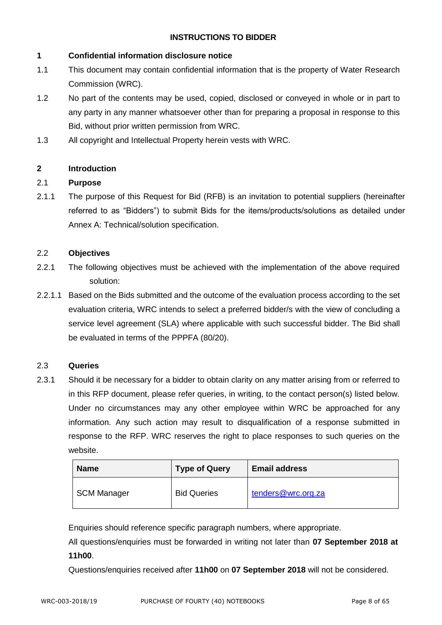# **INSTRUCTIONS TO BIDDER**

# **1 Confidential information disclosure notice**

- 1.1 This document may contain confidential information that is the property of Water Research Commission (WRC).
- 1.2 No part of the contents may be used, copied, disclosed or conveyed in whole or in part to any party in any manner whatsoever other than for preparing a proposal in response to this Bid, without prior written permission from WRC.
- 1.3 All copyright and Intellectual Property herein vests with WRC.

# **2 Introduction**

# 2.1 **Purpose**

2.1.1 The purpose of this Request for Bid (RFB) is an invitation to potential suppliers (hereinafter referred to as "Bidders") to submit Bids for the items/products/solutions as detailed under Annex A: Technical/solution specification.

# 2.2 **Objectives**

- 2.2.1 The following objectives must be achieved with the implementation of the above required solution:
- 2.2.1.1 Based on the Bids submitted and the outcome of the evaluation process according to the set evaluation criteria, WRC intends to select a preferred bidder/s with the view of concluding a service level agreement (SLA) where applicable with such successful bidder. The Bid shall be evaluated in terms of the PPPFA (80/20).

# 2.3 **Queries**

2.3.1 Should it be necessary for a bidder to obtain clarity on any matter arising from or referred to in this RFP document, please refer queries, in writing, to the contact person(s) listed below. Under no circumstances may any other employee within WRC be approached for any information. Any such action may result to disqualification of a response submitted in response to the RFP. WRC reserves the right to place responses to such queries on the website.

| <b>Name</b>        | <b>Type of Query</b> | <b>Email address</b> |
|--------------------|----------------------|----------------------|
| <b>SCM Manager</b> | <b>Bid Queries</b>   | tenders@wrc.org.za   |

Enquiries should reference specific paragraph numbers, where appropriate.

All questions/enquiries must be forwarded in writing not later than **07 September 2018 at 11h00**.

Questions/enquiries received after **11h00** on **07 September 2018** will not be considered.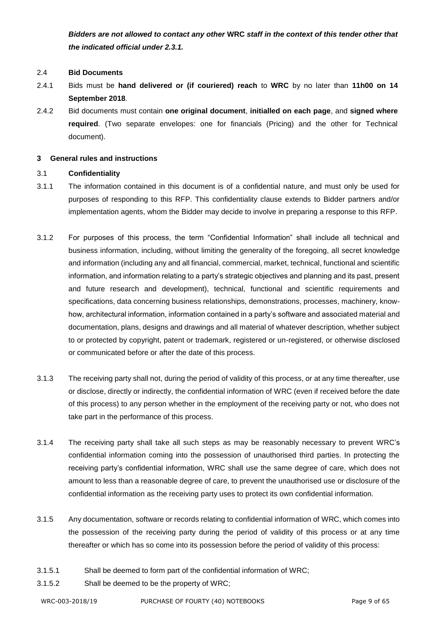*Bidders are not allowed to contact any other* **WRC** *staff in the context of this tender other that the indicated official under 2.3.1.*

# 2.4 **Bid Documents**

- 2.4.1 Bids must be **hand delivered or (if couriered) reach** to **WRC** by no later than **11h00 on 14 September 2018**.
- 2.4.2 Bid documents must contain **one original document**, **initialled on each page**, and **signed where required**. (Two separate envelopes: one for financials (Pricing) and the other for Technical document).

# **3 General rules and instructions**

# 3.1 **Confidentiality**

- 3.1.1 The information contained in this document is of a confidential nature, and must only be used for purposes of responding to this RFP. This confidentiality clause extends to Bidder partners and/or implementation agents, whom the Bidder may decide to involve in preparing a response to this RFP.
- 3.1.2 For purposes of this process, the term "Confidential Information" shall include all technical and business information, including, without limiting the generality of the foregoing, all secret knowledge and information (including any and all financial, commercial, market, technical, functional and scientific information, and information relating to a party's strategic objectives and planning and its past, present and future research and development), technical, functional and scientific requirements and specifications, data concerning business relationships, demonstrations, processes, machinery, knowhow, architectural information, information contained in a party's software and associated material and documentation, plans, designs and drawings and all material of whatever description, whether subject to or protected by copyright, patent or trademark, registered or un-registered, or otherwise disclosed or communicated before or after the date of this process.
- 3.1.3 The receiving party shall not, during the period of validity of this process, or at any time thereafter, use or disclose, directly or indirectly, the confidential information of WRC (even if received before the date of this process) to any person whether in the employment of the receiving party or not, who does not take part in the performance of this process.
- 3.1.4 The receiving party shall take all such steps as may be reasonably necessary to prevent WRC's confidential information coming into the possession of unauthorised third parties. In protecting the receiving party's confidential information, WRC shall use the same degree of care, which does not amount to less than a reasonable degree of care, to prevent the unauthorised use or disclosure of the confidential information as the receiving party uses to protect its own confidential information.
- 3.1.5 Any documentation, software or records relating to confidential information of WRC, which comes into the possession of the receiving party during the period of validity of this process or at any time thereafter or which has so come into its possession before the period of validity of this process:
- 3.1.5.1 Shall be deemed to form part of the confidential information of WRC;
- 3.1.5.2 Shall be deemed to be the property of WRC;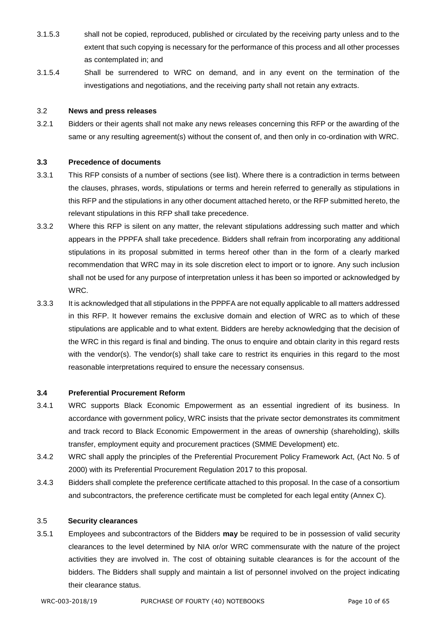- 3.1.5.3 shall not be copied, reproduced, published or circulated by the receiving party unless and to the extent that such copying is necessary for the performance of this process and all other processes as contemplated in; and
- 3.1.5.4 Shall be surrendered to WRC on demand, and in any event on the termination of the investigations and negotiations, and the receiving party shall not retain any extracts.

#### 3.2 **News and press releases**

3.2.1 Bidders or their agents shall not make any news releases concerning this RFP or the awarding of the same or any resulting agreement(s) without the consent of, and then only in co-ordination with WRC.

# **3.3 Precedence of documents**

- 3.3.1 This RFP consists of a number of sections (see list). Where there is a contradiction in terms between the clauses, phrases, words, stipulations or terms and herein referred to generally as stipulations in this RFP and the stipulations in any other document attached hereto, or the RFP submitted hereto, the relevant stipulations in this RFP shall take precedence.
- 3.3.2 Where this RFP is silent on any matter, the relevant stipulations addressing such matter and which appears in the PPPFA shall take precedence. Bidders shall refrain from incorporating any additional stipulations in its proposal submitted in terms hereof other than in the form of a clearly marked recommendation that WRC may in its sole discretion elect to import or to ignore. Any such inclusion shall not be used for any purpose of interpretation unless it has been so imported or acknowledged by WRC.
- 3.3.3 It is acknowledged that all stipulations in the PPPFA are not equally applicable to all matters addressed in this RFP. It however remains the exclusive domain and election of WRC as to which of these stipulations are applicable and to what extent. Bidders are hereby acknowledging that the decision of the WRC in this regard is final and binding. The onus to enquire and obtain clarity in this regard rests with the vendor(s). The vendor(s) shall take care to restrict its enquiries in this regard to the most reasonable interpretations required to ensure the necessary consensus.

#### **3.4 Preferential Procurement Reform**

- 3.4.1 WRC supports Black Economic Empowerment as an essential ingredient of its business. In accordance with government policy, WRC insists that the private sector demonstrates its commitment and track record to Black Economic Empowerment in the areas of ownership (shareholding), skills transfer, employment equity and procurement practices (SMME Development) etc.
- 3.4.2 WRC shall apply the principles of the Preferential Procurement Policy Framework Act, (Act No. 5 of 2000) with its Preferential Procurement Regulation 2017 to this proposal.
- 3.4.3 Bidders shall complete the preference certificate attached to this proposal. In the case of a consortium and subcontractors, the preference certificate must be completed for each legal entity (Annex C).

## 3.5 **Security clearances**

3.5.1 Employees and subcontractors of the Bidders **may** be required to be in possession of valid security clearances to the level determined by NIA or/or WRC commensurate with the nature of the project activities they are involved in. The cost of obtaining suitable clearances is for the account of the bidders. The Bidders shall supply and maintain a list of personnel involved on the project indicating their clearance status.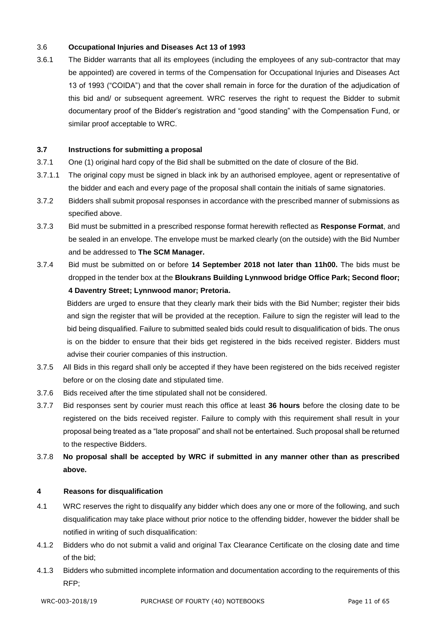# 3.6 **Occupational Injuries and Diseases Act 13 of 1993**

3.6.1 The Bidder warrants that all its employees (including the employees of any sub-contractor that may be appointed) are covered in terms of the Compensation for Occupational Injuries and Diseases Act 13 of 1993 ("COIDA") and that the cover shall remain in force for the duration of the adjudication of this bid and/ or subsequent agreement. WRC reserves the right to request the Bidder to submit documentary proof of the Bidder's registration and "good standing" with the Compensation Fund, or similar proof acceptable to WRC.

# **3.7 Instructions for submitting a proposal**

- 3.7.1 One (1) original hard copy of the Bid shall be submitted on the date of closure of the Bid.
- 3.7.1.1 The original copy must be signed in black ink by an authorised employee, agent or representative of the bidder and each and every page of the proposal shall contain the initials of same signatories.
- 3.7.2 Bidders shall submit proposal responses in accordance with the prescribed manner of submissions as specified above.
- 3.7.3 Bid must be submitted in a prescribed response format herewith reflected as **Response Format**, and be sealed in an envelope. The envelope must be marked clearly (on the outside) with the Bid Number and be addressed to **The SCM Manager.**
- 3.7.4 Bid must be submitted on or before **14 September 2018 not later than 11h00.** The bids must be dropped in the tender box at the **Bloukrans Building Lynnwood bridge Office Park; Second floor; 4 Daventry Street; Lynnwood manor; Pretoria.**

Bidders are urged to ensure that they clearly mark their bids with the Bid Number; register their bids and sign the register that will be provided at the reception. Failure to sign the register will lead to the bid being disqualified. Failure to submitted sealed bids could result to disqualification of bids. The onus is on the bidder to ensure that their bids get registered in the bids received register. Bidders must advise their courier companies of this instruction.

- 3.7.5 All Bids in this regard shall only be accepted if they have been registered on the bids received register before or on the closing date and stipulated time.
- 3.7.6 Bids received after the time stipulated shall not be considered.
- 3.7.7 Bid responses sent by courier must reach this office at least **36 hours** before the closing date to be registered on the bids received register. Failure to comply with this requirement shall result in your proposal being treated as a "late proposal" and shall not be entertained. Such proposal shall be returned to the respective Bidders.
- 3.7.8 **No proposal shall be accepted by WRC if submitted in any manner other than as prescribed above.**

#### **4 Reasons for disqualification**

- 4.1 WRC reserves the right to disqualify any bidder which does any one or more of the following, and such disqualification may take place without prior notice to the offending bidder, however the bidder shall be notified in writing of such disqualification:
- 4.1.2 Bidders who do not submit a valid and original Tax Clearance Certificate on the closing date and time of the bid;
- 4.1.3 Bidders who submitted incomplete information and documentation according to the requirements of this RFP;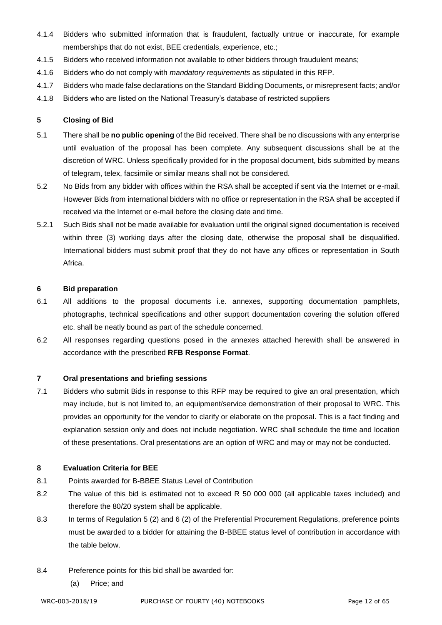- 4.1.4 Bidders who submitted information that is fraudulent, factually untrue or inaccurate, for example memberships that do not exist, BEE credentials, experience, etc.;
- 4.1.5 Bidders who received information not available to other bidders through fraudulent means;
- 4.1.6 Bidders who do not comply with *mandatory requirements* as stipulated in this RFP.
- 4.1.7 Bidders who made false declarations on the Standard Bidding Documents, or misrepresent facts; and/or
- 4.1.8 Bidders who are listed on the National Treasury's database of restricted suppliers

# **5 Closing of Bid**

- 5.1 There shall be **no public opening** of the Bid received. There shall be no discussions with any enterprise until evaluation of the proposal has been complete. Any subsequent discussions shall be at the discretion of WRC. Unless specifically provided for in the proposal document, bids submitted by means of telegram, telex, facsimile or similar means shall not be considered.
- 5.2 No Bids from any bidder with offices within the RSA shall be accepted if sent via the Internet or e-mail. However Bids from international bidders with no office or representation in the RSA shall be accepted if received via the Internet or e-mail before the closing date and time.
- 5.2.1 Such Bids shall not be made available for evaluation until the original signed documentation is received within three (3) working days after the closing date, otherwise the proposal shall be disqualified. International bidders must submit proof that they do not have any offices or representation in South Africa.

# **6 Bid preparation**

- 6.1 All additions to the proposal documents i.e. annexes, supporting documentation pamphlets, photographs, technical specifications and other support documentation covering the solution offered etc. shall be neatly bound as part of the schedule concerned.
- 6.2 All responses regarding questions posed in the annexes attached herewith shall be answered in accordance with the prescribed **RFB Response Format**.

# **7 Oral presentations and briefing sessions**

7.1 Bidders who submit Bids in response to this RFP may be required to give an oral presentation, which may include, but is not limited to, an equipment/service demonstration of their proposal to WRC. This provides an opportunity for the vendor to clarify or elaborate on the proposal. This is a fact finding and explanation session only and does not include negotiation. WRC shall schedule the time and location of these presentations. Oral presentations are an option of WRC and may or may not be conducted.

# **8 Evaluation Criteria for BEE**

- 8.1 Points awarded for B-BBEE Status Level of Contribution
- 8.2 The value of this bid is estimated not to exceed R 50 000 000 (all applicable taxes included) and therefore the 80/20 system shall be applicable.
- 8.3 In terms of Regulation 5 (2) and 6 (2) of the Preferential Procurement Regulations, preference points must be awarded to a bidder for attaining the B-BBEE status level of contribution in accordance with the table below.
- 8.4 Preference points for this bid shall be awarded for:
	- (a) Price; and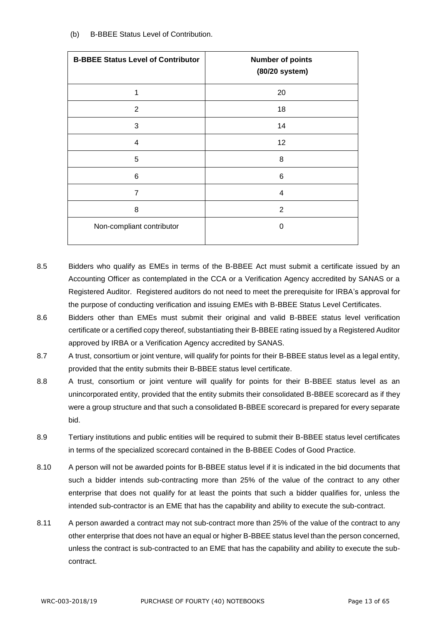| <b>B-BBEE Status Level of Contributor</b> | <b>Number of points</b><br>(80/20 system) |
|-------------------------------------------|-------------------------------------------|
| 1                                         | 20                                        |
| $\overline{2}$                            | 18                                        |
| 3                                         | 14                                        |
| 4                                         | 12                                        |
| 5                                         | 8                                         |
| 6                                         | 6                                         |
| $\overline{7}$                            | 4                                         |
| 8                                         | $\overline{2}$                            |
| Non-compliant contributor                 | 0                                         |

- 8.5 Bidders who qualify as EMEs in terms of the B-BBEE Act must submit a certificate issued by an Accounting Officer as contemplated in the CCA or a Verification Agency accredited by SANAS or a Registered Auditor. Registered auditors do not need to meet the prerequisite for IRBA's approval for the purpose of conducting verification and issuing EMEs with B-BBEE Status Level Certificates.
- 8.6 Bidders other than EMEs must submit their original and valid B-BBEE status level verification certificate or a certified copy thereof, substantiating their B-BBEE rating issued by a Registered Auditor approved by IRBA or a Verification Agency accredited by SANAS.
- 8.7 A trust, consortium or joint venture, will qualify for points for their B-BBEE status level as a legal entity, provided that the entity submits their B-BBEE status level certificate.
- 8.8 A trust, consortium or joint venture will qualify for points for their B-BBEE status level as an unincorporated entity, provided that the entity submits their consolidated B-BBEE scorecard as if they were a group structure and that such a consolidated B-BBEE scorecard is prepared for every separate bid.
- 8.9 Tertiary institutions and public entities will be required to submit their B-BBEE status level certificates in terms of the specialized scorecard contained in the B-BBEE Codes of Good Practice.
- 8.10 A person will not be awarded points for B-BBEE status level if it is indicated in the bid documents that such a bidder intends sub-contracting more than 25% of the value of the contract to any other enterprise that does not qualify for at least the points that such a bidder qualifies for, unless the intended sub-contractor is an EME that has the capability and ability to execute the sub-contract.
- 8.11 A person awarded a contract may not sub-contract more than 25% of the value of the contract to any other enterprise that does not have an equal or higher B-BBEE status level than the person concerned, unless the contract is sub-contracted to an EME that has the capability and ability to execute the subcontract.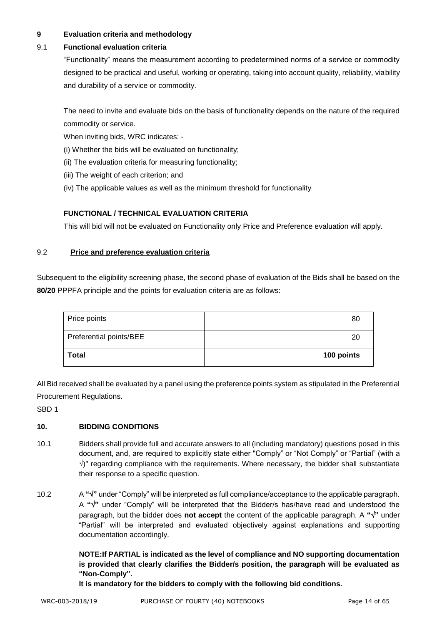# **9 Evaluation criteria and methodology**

# 9.1 **Functional evaluation criteria**

"Functionality" means the measurement according to predetermined norms of a service or commodity designed to be practical and useful, working or operating, taking into account quality, reliability, viability and durability of a service or commodity.

The need to invite and evaluate bids on the basis of functionality depends on the nature of the required commodity or service.

When inviting bids, WRC indicates: -

- (i) Whether the bids will be evaluated on functionality;
- (ii) The evaluation criteria for measuring functionality;
- (iii) The weight of each criterion; and
- (iv) The applicable values as well as the minimum threshold for functionality

# **FUNCTIONAL / TECHNICAL EVALUATION CRITERIA**

This will bid will not be evaluated on Functionality only Price and Preference evaluation will apply.

# 9.2 **Price and preference evaluation criteria**

Subsequent to the eligibility screening phase, the second phase of evaluation of the Bids shall be based on the **80/20** PPPFA principle and the points for evaluation criteria are as follows:

| Price points            | 80         |
|-------------------------|------------|
| Preferential points/BEE | 20         |
| Total                   | 100 points |

All Bid received shall be evaluated by a panel using the preference points system as stipulated in the Preferential Procurement Regulations.

SBD 1

# **10. BIDDING CONDITIONS**

- 10.1 Bidders shall provide full and accurate answers to all (including mandatory) questions posed in this document, and, are required to explicitly state either "Comply" or "Not Comply" or "Partial" (with a  $\sqrt{ }$ " regarding compliance with the requirements. Where necessary, the bidder shall substantiate their response to a specific question.
- 10.2 A **""** under "Comply" will be interpreted as full compliance/acceptance to the applicable paragraph. A **""** under "Comply" will be interpreted that the Bidder/s has/have read and understood the paragraph, but the bidder does **not accept** the content of the applicable paragraph. A **""** under "Partial" will be interpreted and evaluated objectively against explanations and supporting documentation accordingly.

**NOTE:If PARTIAL is indicated as the level of compliance and NO supporting documentation is provided that clearly clarifies the Bidder/s position, the paragraph will be evaluated as "Non-Comply".** 

**It is mandatory for the bidders to comply with the following bid conditions.**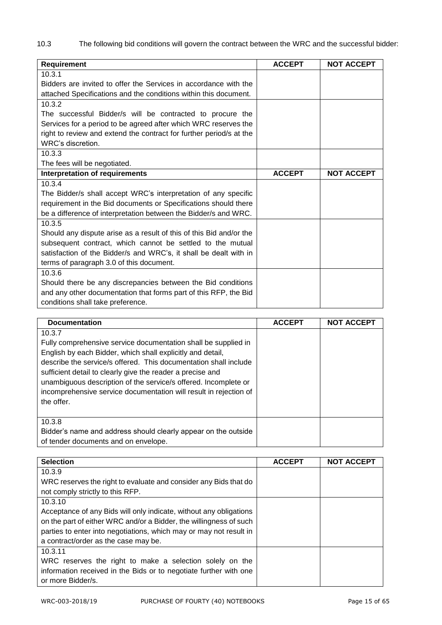10.3 The following bid conditions will govern the contract between the WRC and the successful bidder:

| <b>Requirement</b>                                                  | <b>ACCEPT</b> | <b>NOT ACCEPT</b> |
|---------------------------------------------------------------------|---------------|-------------------|
| 10.3.1                                                              |               |                   |
| Bidders are invited to offer the Services in accordance with the    |               |                   |
| attached Specifications and the conditions within this document.    |               |                   |
| 10.3.2                                                              |               |                   |
| The successful Bidder/s will be contracted to procure the           |               |                   |
| Services for a period to be agreed after which WRC reserves the     |               |                   |
| right to review and extend the contract for further period/s at the |               |                   |
| WRC's discretion.                                                   |               |                   |
| 10.3.3                                                              |               |                   |
| The fees will be negotiated.                                        |               |                   |
| <b>Interpretation of requirements</b>                               | <b>ACCEPT</b> | <b>NOT ACCEPT</b> |
| 10.3.4                                                              |               |                   |
| The Bidder/s shall accept WRC's interpretation of any specific      |               |                   |
| requirement in the Bid documents or Specifications should there     |               |                   |
| be a difference of interpretation between the Bidder/s and WRC.     |               |                   |
| 10.3.5                                                              |               |                   |
| Should any dispute arise as a result of this of this Bid and/or the |               |                   |
| subsequent contract, which cannot be settled to the mutual          |               |                   |
| satisfaction of the Bidder/s and WRC's, it shall be dealt with in   |               |                   |
| terms of paragraph 3.0 of this document.                            |               |                   |
| 10.3.6                                                              |               |                   |
| Should there be any discrepancies between the Bid conditions        |               |                   |
| and any other documentation that forms part of this RFP, the Bid    |               |                   |
| conditions shall take preference.                                   |               |                   |

| <b>Documentation</b>                                                                                                                                                                                                                                                                                                                                                                                                           | <b>ACCEPT</b> | <b>NOT ACCEPT</b> |
|--------------------------------------------------------------------------------------------------------------------------------------------------------------------------------------------------------------------------------------------------------------------------------------------------------------------------------------------------------------------------------------------------------------------------------|---------------|-------------------|
| 10.3.7<br>Fully comprehensive service documentation shall be supplied in<br>English by each Bidder, which shall explicitly and detail,<br>describe the service/s offered. This documentation shall include<br>sufficient detail to clearly give the reader a precise and<br>unambiguous description of the service/s offered. Incomplete or<br>incomprehensive service documentation will result in rejection of<br>the offer. |               |                   |
| 10.3.8<br>Bidder's name and address should clearly appear on the outside<br>of tender documents and on envelope.                                                                                                                                                                                                                                                                                                               |               |                   |

| <b>Selection</b>                                                   | <b>ACCEPT</b> | <b>NOT ACCEPT</b> |
|--------------------------------------------------------------------|---------------|-------------------|
| 10.3.9                                                             |               |                   |
| WRC reserves the right to evaluate and consider any Bids that do   |               |                   |
| not comply strictly to this RFP.                                   |               |                   |
| 10.3.10                                                            |               |                   |
| Acceptance of any Bids will only indicate, without any obligations |               |                   |
| on the part of either WRC and/or a Bidder, the willingness of such |               |                   |
| parties to enter into negotiations, which may or may not result in |               |                   |
| a contract/order as the case may be.                               |               |                   |
| 10.3.11                                                            |               |                   |
| WRC reserves the right to make a selection solely on the           |               |                   |
| information received in the Bids or to negotiate further with one  |               |                   |
| or more Bidder/s.                                                  |               |                   |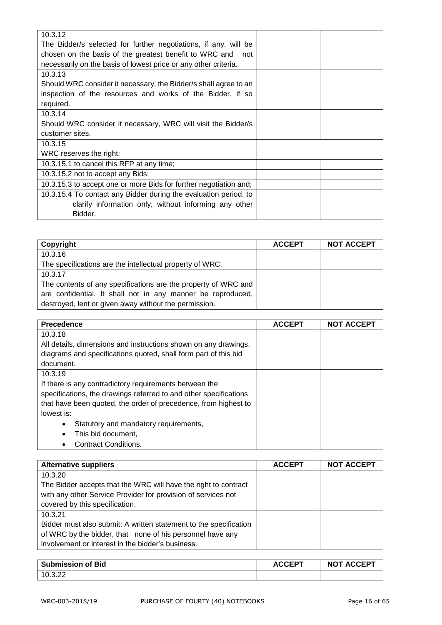| 10.3.12                                                           |  |
|-------------------------------------------------------------------|--|
| The Bidder/s selected for further negotiations, if any, will be   |  |
| chosen on the basis of the greatest benefit to WRC and<br>not     |  |
| necessarily on the basis of lowest price or any other criteria.   |  |
| 10.3.13                                                           |  |
| Should WRC consider it necessary, the Bidder/s shall agree to an  |  |
| inspection of the resources and works of the Bidder, if so        |  |
| required.                                                         |  |
| 10.3.14                                                           |  |
| Should WRC consider it necessary, WRC will visit the Bidder/s     |  |
| customer sites.                                                   |  |
| 10.3.15                                                           |  |
| WRC reserves the right:                                           |  |
| 10.3.15.1 to cancel this RFP at any time;                         |  |
| 10.3.15.2 not to accept any Bids;                                 |  |
| 10.3.15.3 to accept one or more Bids for further negotiation and; |  |
| 10.3.15.4 To contact any Bidder during the evaluation period, to  |  |
| clarify information only, without informing any other             |  |
| Bidder.                                                           |  |
|                                                                   |  |

| Copyright                                                      | <b>ACCEPT</b> | <b>NOT ACCEPT</b> |
|----------------------------------------------------------------|---------------|-------------------|
| 10.3.16                                                        |               |                   |
| The specifications are the intellectual property of WRC.       |               |                   |
| 10.3.17                                                        |               |                   |
| The contents of any specifications are the property of WRC and |               |                   |
| are confidential. It shall not in any manner be reproduced,    |               |                   |
| destroyed, lent or given away without the permission.          |               |                   |

| <b>Precedence</b>                                                 | <b>ACCEPT</b> | <b>NOT ACCEPT</b> |
|-------------------------------------------------------------------|---------------|-------------------|
| 10.3.18                                                           |               |                   |
| All details, dimensions and instructions shown on any drawings,   |               |                   |
| diagrams and specifications quoted, shall form part of this bid   |               |                   |
| document.                                                         |               |                   |
| 10.3.19                                                           |               |                   |
| If there is any contradictory requirements between the            |               |                   |
| specifications, the drawings referred to and other specifications |               |                   |
| that have been quoted, the order of precedence, from highest to   |               |                   |
| lowest is:                                                        |               |                   |
| Statutory and mandatory requirements,<br>$\bullet$                |               |                   |
| This bid document,                                                |               |                   |
| <b>Contract Conditions.</b>                                       |               |                   |

| <b>Alternative suppliers</b>                                      | <b>ACCEPT</b> | <b>NOT ACCEPT</b> |
|-------------------------------------------------------------------|---------------|-------------------|
| 10.3.20                                                           |               |                   |
| The Bidder accepts that the WRC will have the right to contract   |               |                   |
| with any other Service Provider for provision of services not     |               |                   |
| covered by this specification.                                    |               |                   |
| 10.3.21                                                           |               |                   |
| Bidder must also submit: A written statement to the specification |               |                   |
| of WRC by the bidder, that none of his personnel have any         |               |                   |
| involvement or interest in the bidder's business.                 |               |                   |

| <b>Submission of Bid</b> | <b>ACCEPT</b> | <b>NOT ACCEPT</b> |
|--------------------------|---------------|-------------------|
| <u>າດ ລຸດລ</u>           |               |                   |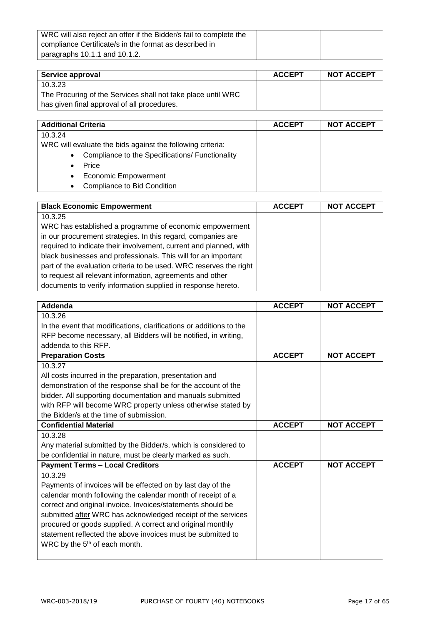| WRC will also reject an offer if the Bidder/s fail to complete the |  |
|--------------------------------------------------------------------|--|
| compliance Certificate/s in the format as described in             |  |
| paragraphs 10.1.1 and 10.1.2.                                      |  |

| Service approval                                             | <b>ACCEPT</b> | <b>NOT ACCEPT</b> |
|--------------------------------------------------------------|---------------|-------------------|
| 10.3.23                                                      |               |                   |
| The Procuring of the Services shall not take place until WRC |               |                   |
| has given final approval of all procedures.                  |               |                   |

| <b>Additional Criteria</b>                                 | <b>ACCEPT</b> | <b>NOT ACCEPT</b> |
|------------------------------------------------------------|---------------|-------------------|
| 10.3.24                                                    |               |                   |
| WRC will evaluate the bids against the following criteria: |               |                   |
| • Compliance to the Specifications/ Functionality          |               |                   |
| Price<br>$\bullet$                                         |               |                   |
| <b>Economic Empowerment</b><br>$\bullet$                   |               |                   |
| Compliance to Bid Condition<br>$\bullet$                   |               |                   |

| <b>Black Economic Empowerment</b>                                  | <b>ACCEPT</b> | <b>NOT ACCEPT</b> |
|--------------------------------------------------------------------|---------------|-------------------|
| 10.3.25                                                            |               |                   |
| WRC has established a programme of economic empowerment            |               |                   |
| in our procurement strategies. In this regard, companies are       |               |                   |
| required to indicate their involvement, current and planned, with  |               |                   |
| black businesses and professionals. This will for an important     |               |                   |
| part of the evaluation criteria to be used. WRC reserves the right |               |                   |
| to request all relevant information, agreements and other          |               |                   |
| documents to verify information supplied in response hereto.       |               |                   |

| Addenda                                                             | <b>ACCEPT</b> | <b>NOT ACCEPT</b> |
|---------------------------------------------------------------------|---------------|-------------------|
| 10.3.26                                                             |               |                   |
| In the event that modifications, clarifications or additions to the |               |                   |
| RFP become necessary, all Bidders will be notified, in writing,     |               |                   |
| addenda to this RFP.                                                |               |                   |
| <b>Preparation Costs</b>                                            | <b>ACCEPT</b> | <b>NOT ACCEPT</b> |
| 10.3.27                                                             |               |                   |
| All costs incurred in the preparation, presentation and             |               |                   |
| demonstration of the response shall be for the account of the       |               |                   |
| bidder. All supporting documentation and manuals submitted          |               |                   |
| with RFP will become WRC property unless otherwise stated by        |               |                   |
| the Bidder/s at the time of submission.                             |               |                   |
| <b>Confidential Material</b>                                        | <b>ACCEPT</b> | <b>NOT ACCEPT</b> |
| 10.3.28                                                             |               |                   |
| Any material submitted by the Bidder/s, which is considered to      |               |                   |
| be confidential in nature, must be clearly marked as such.          |               |                   |
| <b>Payment Terms - Local Creditors</b>                              | <b>ACCEPT</b> | <b>NOT ACCEPT</b> |
| 10.3.29                                                             |               |                   |
| Payments of invoices will be effected on by last day of the         |               |                   |
| calendar month following the calendar month of receipt of a         |               |                   |
| correct and original invoice. Invoices/statements should be         |               |                   |
| submitted after WRC has acknowledged receipt of the services        |               |                   |
| procured or goods supplied. A correct and original monthly          |               |                   |
| statement reflected the above invoices must be submitted to         |               |                   |
| WRC by the 5 <sup>th</sup> of each month.                           |               |                   |
|                                                                     |               |                   |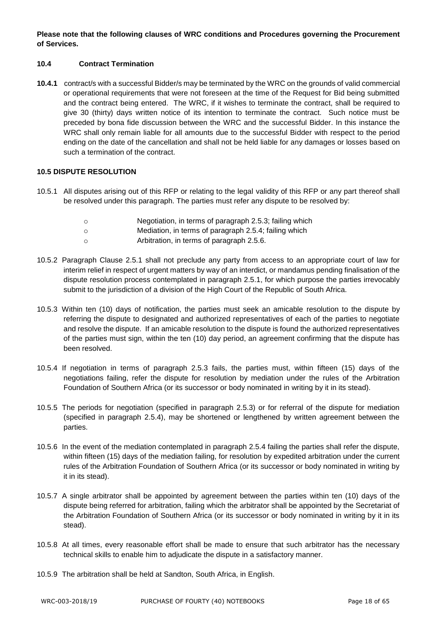**Please note that the following clauses of WRC conditions and Procedures governing the Procurement of Services.**

# **10.4 Contract Termination**

**10.4.1** contract/s with a successful Bidder/s may be terminated by the WRC on the grounds of valid commercial or operational requirements that were not foreseen at the time of the Request for Bid being submitted and the contract being entered. The WRC, if it wishes to terminate the contract, shall be required to give 30 (thirty) days written notice of its intention to terminate the contract. Such notice must be preceded by bona fide discussion between the WRC and the successful Bidder. In this instance the WRC shall only remain liable for all amounts due to the successful Bidder with respect to the period ending on the date of the cancellation and shall not be held liable for any damages or losses based on such a termination of the contract.

# **10.5 DISPUTE RESOLUTION**

- 10.5.1 All disputes arising out of this RFP or relating to the legal validity of this RFP or any part thereof shall be resolved under this paragraph. The parties must refer any dispute to be resolved by:
	- o Negotiation, in terms of paragraph 2.5.3; failing which
	- o Mediation, in terms of paragraph 2.5.4; failing which
	- o Arbitration, in terms of paragraph 2.5.6.
- 10.5.2 Paragraph Clause 2.5.1 shall not preclude any party from access to an appropriate court of law for interim relief in respect of urgent matters by way of an interdict, or mandamus pending finalisation of the dispute resolution process contemplated in paragraph 2.5.1, for which purpose the parties irrevocably submit to the jurisdiction of a division of the High Court of the Republic of South Africa.
- 10.5.3 Within ten (10) days of notification, the parties must seek an amicable resolution to the dispute by referring the dispute to designated and authorized representatives of each of the parties to negotiate and resolve the dispute. If an amicable resolution to the dispute is found the authorized representatives of the parties must sign, within the ten (10) day period, an agreement confirming that the dispute has been resolved.
- 10.5.4 If negotiation in terms of paragraph 2.5.3 fails, the parties must, within fifteen (15) days of the negotiations failing, refer the dispute for resolution by mediation under the rules of the Arbitration Foundation of Southern Africa (or its successor or body nominated in writing by it in its stead).
- 10.5.5 The periods for negotiation (specified in paragraph 2.5.3) or for referral of the dispute for mediation (specified in paragraph 2.5.4), may be shortened or lengthened by written agreement between the parties.
- 10.5.6 In the event of the mediation contemplated in paragraph 2.5.4 failing the parties shall refer the dispute, within fifteen (15) days of the mediation failing, for resolution by expedited arbitration under the current rules of the Arbitration Foundation of Southern Africa (or its successor or body nominated in writing by it in its stead).
- 10.5.7 A single arbitrator shall be appointed by agreement between the parties within ten (10) days of the dispute being referred for arbitration, failing which the arbitrator shall be appointed by the Secretariat of the Arbitration Foundation of Southern Africa (or its successor or body nominated in writing by it in its stead).
- 10.5.8 At all times, every reasonable effort shall be made to ensure that such arbitrator has the necessary technical skills to enable him to adjudicate the dispute in a satisfactory manner.
- 10.5.9 The arbitration shall be held at Sandton, South Africa, in English.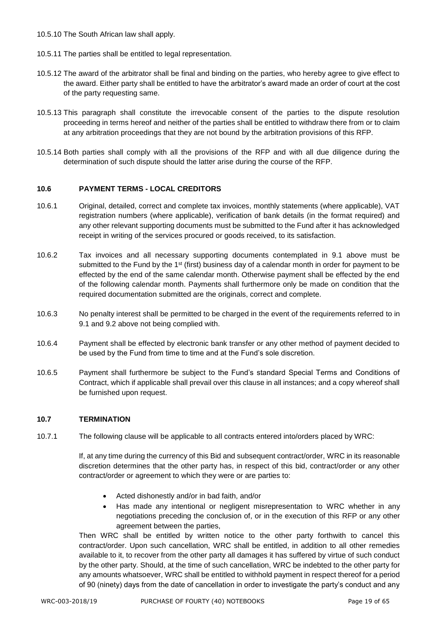- 10.5.10 The South African law shall apply.
- 10.5.11 The parties shall be entitled to legal representation.
- 10.5.12 The award of the arbitrator shall be final and binding on the parties, who hereby agree to give effect to the award. Either party shall be entitled to have the arbitrator's award made an order of court at the cost of the party requesting same.
- 10.5.13 This paragraph shall constitute the irrevocable consent of the parties to the dispute resolution proceeding in terms hereof and neither of the parties shall be entitled to withdraw there from or to claim at any arbitration proceedings that they are not bound by the arbitration provisions of this RFP.
- 10.5.14 Both parties shall comply with all the provisions of the RFP and with all due diligence during the determination of such dispute should the latter arise during the course of the RFP.

# **10.6 PAYMENT TERMS - LOCAL CREDITORS**

- 10.6.1 Original, detailed, correct and complete tax invoices, monthly statements (where applicable), VAT registration numbers (where applicable), verification of bank details (in the format required) and any other relevant supporting documents must be submitted to the Fund after it has acknowledged receipt in writing of the services procured or goods received, to its satisfaction.
- 10.6.2 Tax invoices and all necessary supporting documents contemplated in 9.1 above must be submitted to the Fund by the  $1<sup>st</sup>$  (first) business day of a calendar month in order for payment to be effected by the end of the same calendar month. Otherwise payment shall be effected by the end of the following calendar month. Payments shall furthermore only be made on condition that the required documentation submitted are the originals, correct and complete.
- 10.6.3 No penalty interest shall be permitted to be charged in the event of the requirements referred to in 9.1 and 9.2 above not being complied with.
- 10.6.4 Payment shall be effected by electronic bank transfer or any other method of payment decided to be used by the Fund from time to time and at the Fund's sole discretion.
- 10.6.5 Payment shall furthermore be subject to the Fund's standard Special Terms and Conditions of Contract, which if applicable shall prevail over this clause in all instances; and a copy whereof shall be furnished upon request.

# **10.7 TERMINATION**

10.7.1 The following clause will be applicable to all contracts entered into/orders placed by WRC:

If, at any time during the currency of this Bid and subsequent contract/order, WRC in its reasonable discretion determines that the other party has, in respect of this bid, contract/order or any other contract/order or agreement to which they were or are parties to:

- Acted dishonestly and/or in bad faith, and/or
- Has made any intentional or negligent misrepresentation to WRC whether in any negotiations preceding the conclusion of, or in the execution of this RFP or any other agreement between the parties,

Then WRC shall be entitled by written notice to the other party forthwith to cancel this contract/order. Upon such cancellation, WRC shall be entitled, in addition to all other remedies available to it, to recover from the other party all damages it has suffered by virtue of such conduct by the other party. Should, at the time of such cancellation, WRC be indebted to the other party for any amounts whatsoever, WRC shall be entitled to withhold payment in respect thereof for a period of 90 (ninety) days from the date of cancellation in order to investigate the party's conduct and any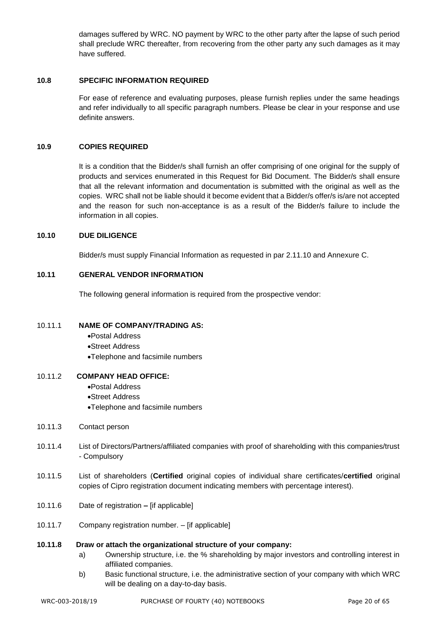damages suffered by WRC. NO payment by WRC to the other party after the lapse of such period shall preclude WRC thereafter, from recovering from the other party any such damages as it may have suffered.

# **10.8 SPECIFIC INFORMATION REQUIRED**

For ease of reference and evaluating purposes, please furnish replies under the same headings and refer individually to all specific paragraph numbers. Please be clear in your response and use definite answers.

# **10.9 COPIES REQUIRED**

It is a condition that the Bidder/s shall furnish an offer comprising of one original for the supply of products and services enumerated in this Request for Bid Document. The Bidder/s shall ensure that all the relevant information and documentation is submitted with the original as well as the copies. WRC shall not be liable should it become evident that a Bidder/s offer/s is/are not accepted and the reason for such non-acceptance is as a result of the Bidder/s failure to include the information in all copies.

# **10.10 DUE DILIGENCE**

Bidder/s must supply Financial Information as requested in par 2.11.10 and Annexure C.

# **10.11 GENERAL VENDOR INFORMATION**

The following general information is required from the prospective vendor:

## 10.11.1 **NAME OF COMPANY/TRADING AS:**

- •Postal Address
- •Street Address
- •Telephone and facsimile numbers

# 10.11.2 **COMPANY HEAD OFFICE:**

- •Postal Address
- •Street Address
- •Telephone and facsimile numbers
- 10.11.3 Contact person
- 10.11.4 List of Directors/Partners/affiliated companies with proof of shareholding with this companies/trust - Compulsory
- 10.11.5 List of shareholders (**Certified** original copies of individual share certificates/**certified** original copies of Cipro registration document indicating members with percentage interest).
- 10.11.6 Date of registration **–** [if applicable]
- 10.11.7 Company registration number. [if applicable]

# **10.11.8 Draw or attach the organizational structure of your company:**

- a) Ownership structure, i.e. the % shareholding by major investors and controlling interest in affiliated companies.
- b) Basic functional structure, i.e. the administrative section of your company with which WRC will be dealing on a day-to-day basis.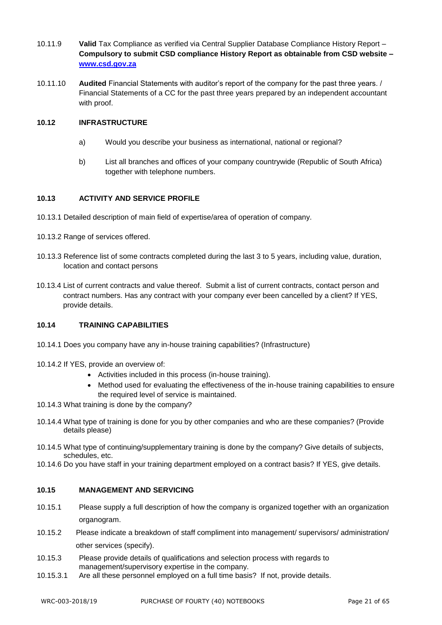- 10.11.9 **Valid** Tax Compliance as verified via Central Supplier Database Compliance History Report **Compulsory to submit CSD compliance History Report as obtainable from CSD website – [www.csd.gov.za](http://www.csd.gov.za/)**
- 10.11.10 **Audited** Financial Statements with auditor's report of the company for the past three years. / Financial Statements of a CC for the past three years prepared by an independent accountant with proof.

# **10.12 INFRASTRUCTURE**

- a) Would you describe your business as international, national or regional?
- b) List all branches and offices of your company countrywide (Republic of South Africa) together with telephone numbers.

# **10.13 ACTIVITY AND SERVICE PROFILE**

- 10.13.1 Detailed description of main field of expertise/area of operation of company.
- 10.13.2 Range of services offered.
- 10.13.3 Reference list of some contracts completed during the last 3 to 5 years, including value, duration, location and contact persons
- 10.13.4 List of current contracts and value thereof. Submit a list of current contracts, contact person and contract numbers. Has any contract with your company ever been cancelled by a client? If YES, provide details.

#### **10.14 TRAINING CAPABILITIES**

- 10.14.1 Does you company have any in-house training capabilities? (Infrastructure)
- 10.14.2 If YES, provide an overview of:
	- Activities included in this process (in-house training).
	- Method used for evaluating the effectiveness of the in-house training capabilities to ensure the required level of service is maintained.
- 10.14.3 What training is done by the company?
- 10.14.4 What type of training is done for you by other companies and who are these companies? (Provide details please)
- 10.14.5 What type of continuing/supplementary training is done by the company? Give details of subjects, schedules, etc.
- 10.14.6 Do you have staff in your training department employed on a contract basis? If YES, give details.

# **10.15 MANAGEMENT AND SERVICING**

- 10.15.1 Please supply a full description of how the company is organized together with an organization organogram.
- 10.15.2 Please indicate a breakdown of staff compliment into management/ supervisors/ administration/ other services (specify).
- 10.15.3 Please provide details of qualifications and selection process with regards to management/supervisory expertise in the company.
- 10.15.3.1 Are all these personnel employed on a full time basis? If not, provide details.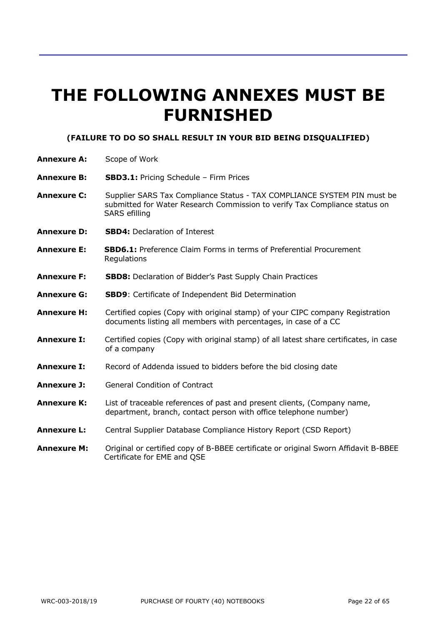# **THE FOLLOWING ANNEXES MUST BE FURNISHED**

# **(FAILURE TO DO SO SHALL RESULT IN YOUR BID BEING DISQUALIFIED)**

- **Annexure A:** Scope of Work
- **Annexure B: SBD3.1:** Pricing Schedule Firm Prices
- **Annexure C:** Supplier SARS Tax Compliance Status TAX COMPLIANCE SYSTEM PIN must be submitted for Water Research Commission to verify Tax Compliance status on SARS efilling
- **Annexure D: SBD4:** Declaration of Interest
- **Annexure E: SBD6.1:** Preference Claim Forms in terms of Preferential Procurement **Regulations**
- **Annexure F: SBD8:** Declaration of Bidder's Past Supply Chain Practices
- **Annexure G: SBD9**: Certificate of Independent Bid Determination
- **Annexure H:** Certified copies (Copy with original stamp) of your CIPC company Registration documents listing all members with percentages, in case of a CC
- **Annexure I:** Certified copies (Copy with original stamp) of all latest share certificates, in case of a company
- **Annexure I:** Record of Addenda issued to bidders before the bid closing date
- **Annexure J:** General Condition of Contract
- **Annexure K:** List of traceable references of past and present clients, (Company name, department, branch, contact person with office telephone number)
- **Annexure L:** Central Supplier Database Compliance History Report (CSD Report)
- **Annexure M:** Original or certified copy of B-BBEE certificate or original Sworn Affidavit B-BBEE Certificate for EME and QSE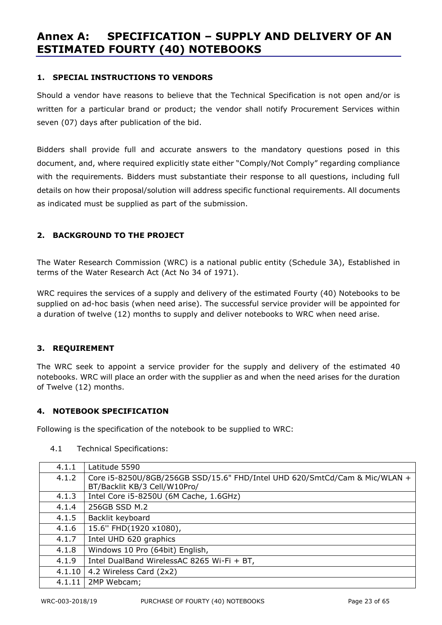# **Annex A: SPECIFICATION – SUPPLY AND DELIVERY OF AN ESTIMATED FOURTY (40) NOTEBOOKS**

# **1. SPECIAL INSTRUCTIONS TO VENDORS**

Should a vendor have reasons to believe that the Technical Specification is not open and/or is written for a particular brand or product; the vendor shall notify Procurement Services within seven (07) days after publication of the bid.

Bidders shall provide full and accurate answers to the mandatory questions posed in this document, and, where required explicitly state either "Comply/Not Comply" regarding compliance with the requirements. Bidders must substantiate their response to all questions, including full details on how their proposal/solution will address specific functional requirements. All documents as indicated must be supplied as part of the submission.

# **2. BACKGROUND TO THE PROJECT**

The Water Research Commission (WRC) is a national public entity (Schedule 3A), Established in terms of the Water Research Act (Act No 34 of 1971).

WRC requires the services of a supply and delivery of the estimated Fourty (40) Notebooks to be supplied on ad-hoc basis (when need arise). The successful service provider will be appointed for a duration of twelve (12) months to supply and deliver notebooks to WRC when need arise.

# **3. REQUIREMENT**

The WRC seek to appoint a service provider for the supply and delivery of the estimated 40 notebooks. WRC will place an order with the supplier as and when the need arises for the duration of Twelve (12) months.

# **4. NOTEBOOK SPECIFICATION**

Following is the specification of the notebook to be supplied to WRC:

| 4.1.1  | Latitude 5590                                                                                              |
|--------|------------------------------------------------------------------------------------------------------------|
| 4.1.2  | Core i5-8250U/8GB/256GB SSD/15.6" FHD/Intel UHD 620/SmtCd/Cam & Mic/WLAN +<br>BT/Backlit KB/3 Cell/W10Pro/ |
| 4.1.3  | Intel Core i5-8250U (6M Cache, 1.6GHz)                                                                     |
| 4.1.4  | 256GB SSD M.2                                                                                              |
| 4.1.5  | Backlit keyboard                                                                                           |
| 4.1.6  | 15.6" FHD(1920 x1080),                                                                                     |
| 4.1.7  | Intel UHD 620 graphics                                                                                     |
| 4.1.8  | Windows 10 Pro (64bit) English,                                                                            |
| 4.1.9  | Intel DualBand WirelessAC 8265 Wi-Fi + BT,                                                                 |
| 4.1.10 | 4.2 Wireless Card (2x2)                                                                                    |
| 4.1.11 | 2MP Webcam;                                                                                                |

4.1 Technical Specifications: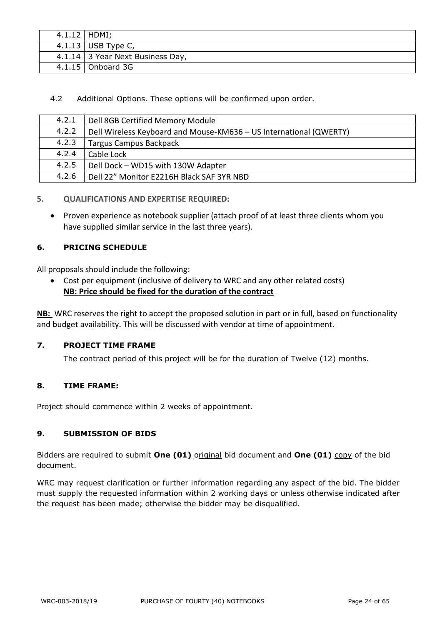| $4.1.12$   HDMI; |                                  |
|------------------|----------------------------------|
|                  | 4.1.13   USB Type C,             |
|                  | 4.1.14 3 Year Next Business Day, |
|                  | $4.1.15$ Onboard 3G              |

4.2 Additional Options. These options will be confirmed upon order.

| 4.2.1 | Dell 8GB Certified Memory Module                                   |
|-------|--------------------------------------------------------------------|
| 4.2.2 | Dell Wireless Keyboard and Mouse-KM636 - US International (QWERTY) |
| 4.2.3 | <b>Targus Campus Backpack</b>                                      |
| 4.2.4 | Cable Lock                                                         |
| 4.2.5 | Dell Dock - WD15 with 130W Adapter                                 |
| 4.2.6 | Dell 22" Monitor E2216H Black SAF 3YR NBD                          |

# **5. QUALIFICATIONS AND EXPERTISE REQUIRED:**

• Proven experience as notebook supplier (attach proof of at least three clients whom you have supplied similar service in the last three years).

# **6. PRICING SCHEDULE**

All proposals should include the following:

• Cost per equipment (inclusive of delivery to WRC and any other related costs) **NB: Price should be fixed for the duration of the contract**

**NB:** WRC reserves the right to accept the proposed solution in part or in full, based on functionality and budget availability. This will be discussed with vendor at time of appointment.

# **7. PROJECT TIME FRAME**

The contract period of this project will be for the duration of Twelve (12) months.

# **8. TIME FRAME:**

Project should commence within 2 weeks of appointment.

# **9. SUBMISSION OF BIDS**

Bidders are required to submit **One (01)** original bid document and **One (01)** copy of the bid document.

WRC may request clarification or further information regarding any aspect of the bid. The bidder must supply the requested information within 2 working days or unless otherwise indicated after the request has been made; otherwise the bidder may be disqualified.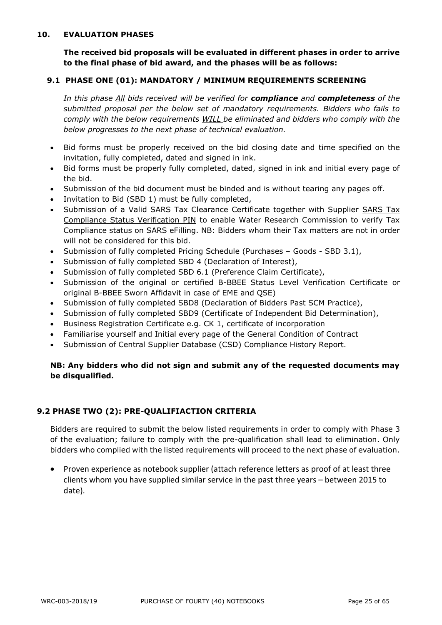# **10. EVALUATION PHASES**

**The received bid proposals will be evaluated in different phases in order to arrive to the final phase of bid award, and the phases will be as follows:**

# **9.1 PHASE ONE (01): MANDATORY / MINIMUM REQUIREMENTS SCREENING**

*In this phase All bids received will be verified for compliance and completeness of the submitted proposal per the below set of mandatory requirements. Bidders who fails to comply with the below requirements WILL be eliminated and bidders who comply with the below progresses to the next phase of technical evaluation.*

- Bid forms must be properly received on the bid closing date and time specified on the invitation, fully completed, dated and signed in ink.
- Bid forms must be properly fully completed, dated, signed in ink and initial every page of the bid.
- Submission of the bid document must be binded and is without tearing any pages off.
- Invitation to Bid (SBD 1) must be fully completed,
- Submission of a Valid SARS Tax Clearance Certificate together with Supplier SARS Tax Compliance Status Verification PIN to enable Water Research Commission to verify Tax Compliance status on SARS eFilling. NB: Bidders whom their Tax matters are not in order will not be considered for this bid.
- Submission of fully completed Pricing Schedule (Purchases Goods SBD 3.1),
- Submission of fully completed SBD 4 (Declaration of Interest),
- Submission of fully completed SBD 6.1 (Preference Claim Certificate),
- Submission of the original or certified B-BBEE Status Level Verification Certificate or original B-BBEE Sworn Affidavit in case of EME and QSE)
- Submission of fully completed SBD8 (Declaration of Bidders Past SCM Practice),
- Submission of fully completed SBD9 (Certificate of Independent Bid Determination),
- Business Registration Certificate e.g. CK 1, certificate of incorporation
- Familiarise yourself and Initial every page of the General Condition of Contract
- Submission of Central Supplier Database (CSD) Compliance History Report.

# **NB: Any bidders who did not sign and submit any of the requested documents may be disqualified.**

# **9.2 PHASE TWO (2): PRE-QUALIFIACTION CRITERIA**

Bidders are required to submit the below listed requirements in order to comply with Phase 3 of the evaluation; failure to comply with the pre-qualification shall lead to elimination. Only bidders who complied with the listed requirements will proceed to the next phase of evaluation.

• Proven experience as notebook supplier (attach reference letters as proof of at least three clients whom you have supplied similar service in the past three years – between 2015 to date).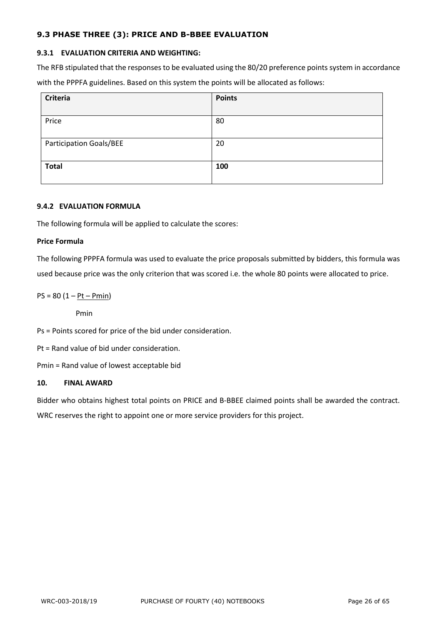# **9.3 PHASE THREE (3): PRICE AND B-BBEE EVALUATION**

# **9.3.1 EVALUATION CRITERIA AND WEIGHTING:**

The RFB stipulated that the responses to be evaluated using the 80/20 preference points system in accordance with the PPPFA guidelines. Based on this system the points will be allocated as follows:

| <b>Criteria</b>                | <b>Points</b> |
|--------------------------------|---------------|
| Price                          | 80            |
| <b>Participation Goals/BEE</b> | 20            |
| <b>Total</b>                   |               |
|                                | 100           |

# **9.4.2 EVALUATION FORMULA**

The following formula will be applied to calculate the scores:

# **Price Formula**

The following PPPFA formula was used to evaluate the price proposals submitted by bidders, this formula was used because price was the only criterion that was scored i.e. the whole 80 points were allocated to price.

# $PS = 80 (1 - Pt - Pmin)$

Pmin

Ps = Points scored for price of the bid under consideration.

Pt = Rand value of bid under consideration.

Pmin = Rand value of lowest acceptable bid

# **10. FINAL AWARD**

Bidder who obtains highest total points on PRICE and B-BBEE claimed points shall be awarded the contract.

WRC reserves the right to appoint one or more service providers for this project.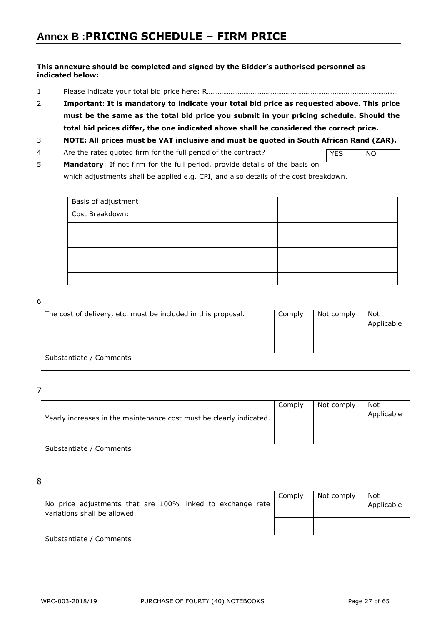# **This annexure should be completed and signed by the Bidder's authorised personnel as indicated below:**

- 1 Please indicate your total bid price here: R………………………………………………………………………………………..…
- 2 **Important: It is mandatory to indicate your total bid price as requested above. This price must be the same as the total bid price you submit in your pricing schedule. Should the total bid prices differ, the one indicated above shall be considered the correct price.**

# 3 **NOTE: All prices must be VAT inclusive and must be quoted in South African Rand (ZAR).**

4 Are the rates quoted firm for the full period of the contract?

YES NO

5 **Mandatory**: If not firm for the full period, provide details of the basis on which adjustments shall be applied e.g. CPI, and also details of the cost breakdown.

| Basis of adjustment: |  |
|----------------------|--|
| Cost Breakdown:      |  |
|                      |  |
|                      |  |
|                      |  |
|                      |  |
|                      |  |

#### 6

| The cost of delivery, etc. must be included in this proposal. | Comply | Not comply | Not<br>Applicable |
|---------------------------------------------------------------|--------|------------|-------------------|
|                                                               |        |            |                   |
| Substantiate / Comments                                       |        |            |                   |

7

| Yearly increases in the maintenance cost must be clearly indicated. | Comply | Not comply | Not<br>Applicable |
|---------------------------------------------------------------------|--------|------------|-------------------|
|                                                                     |        |            |                   |
| Substantiate / Comments                                             |        |            |                   |

8

| No price adjustments that are 100% linked to exchange rate | Comply | Not comply | Not<br>Applicable |
|------------------------------------------------------------|--------|------------|-------------------|
| variations shall be allowed.                               |        |            |                   |
|                                                            |        |            |                   |
|                                                            |        |            |                   |
| Substantiate / Comments                                    |        |            |                   |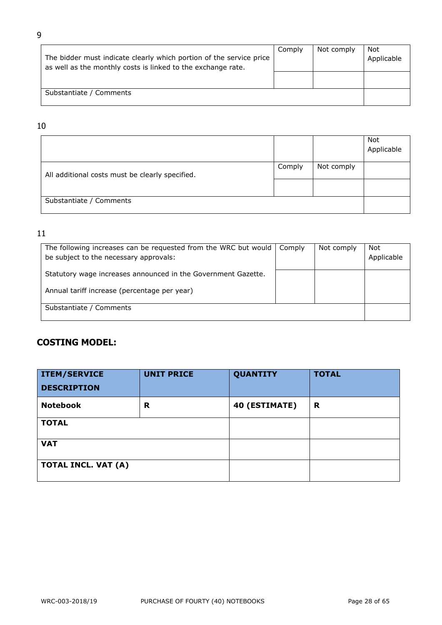| The bidder must indicate clearly which portion of the service price<br>as well as the monthly costs is linked to the exchange rate. | Comply | Not comply | Not<br>Applicable |
|-------------------------------------------------------------------------------------------------------------------------------------|--------|------------|-------------------|
|                                                                                                                                     |        |            |                   |
| Substantiate / Comments                                                                                                             |        |            |                   |

# 10

|                                                 |        |            | Not<br>Applicable |
|-------------------------------------------------|--------|------------|-------------------|
| All additional costs must be clearly specified. | Comply | Not comply |                   |
|                                                 |        |            |                   |
| Substantiate / Comments                         |        |            |                   |

# 11

| The following increases can be requested from the WRC but would<br>be subject to the necessary approvals: | Comply | Not comply | Not<br>Applicable |
|-----------------------------------------------------------------------------------------------------------|--------|------------|-------------------|
| Statutory wage increases announced in the Government Gazette.                                             |        |            |                   |
| Annual tariff increase (percentage per year)                                                              |        |            |                   |
| Substantiate / Comments                                                                                   |        |            |                   |

# **COSTING MODEL:**

| <b>ITEM/SERVICE</b> | <b>UNIT PRICE</b> | <b>QUANTITY</b> | <b>TOTAL</b> |
|---------------------|-------------------|-----------------|--------------|
| <b>DESCRIPTION</b>  |                   |                 |              |
| <b>Notebook</b>     | R                 | 40 (ESTIMATE)   | R            |
| <b>TOTAL</b>        |                   |                 |              |
| <b>VAT</b>          |                   |                 |              |
| TOTAL INCL. VAT (A) |                   |                 |              |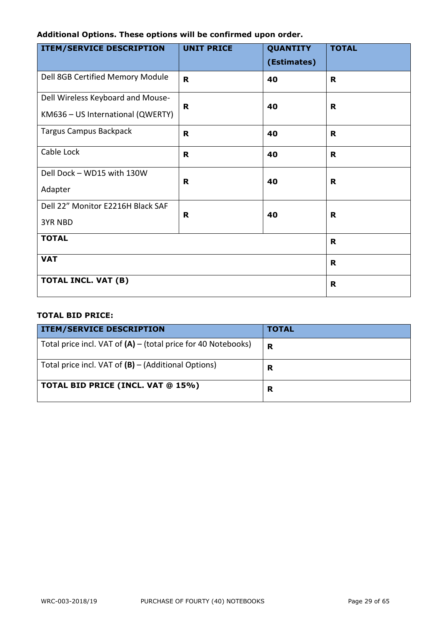# **Additional Options. These options will be confirmed upon order.**

| <b>ITEM/SERVICE DESCRIPTION</b>   | <b>UNIT PRICE</b> | <b>QUANTITY</b><br>(Estimates) | <b>TOTAL</b> |
|-----------------------------------|-------------------|--------------------------------|--------------|
| Dell 8GB Certified Memory Module  | $\mathbf R$       | 40                             | R            |
| Dell Wireless Keyboard and Mouse- |                   |                                |              |
| KM636 - US International (QWERTY) | R.                | 40                             | R            |
| <b>Targus Campus Backpack</b>     | R                 | 40                             | R.           |
| Cable Lock                        | R                 | 40                             | R            |
| Dell Dock - WD15 with 130W        | $\mathbf R$       | 40                             | R            |
| Adapter                           |                   |                                |              |
| Dell 22" Monitor E2216H Black SAF | R                 | 40                             | R            |
| <b>3YR NBD</b>                    |                   |                                |              |
| <b>TOTAL</b>                      | $\mathbf R$       |                                |              |
| <b>VAT</b>                        |                   |                                | $\mathbf R$  |
| TOTAL INCL. VAT (B)               |                   |                                | $\mathbf R$  |

# **TOTAL BID PRICE:**

| <b>ITEM/SERVICE DESCRIPTION</b>                                 | <b>TOTAL</b> |
|-----------------------------------------------------------------|--------------|
| Total price incl. VAT of $(A)$ – (total price for 40 Notebooks) | R            |
| Total price incl. VAT of $(B)$ – (Additional Options)           | R            |
| TOTAL BID PRICE (INCL. VAT @ 15%)                               | R            |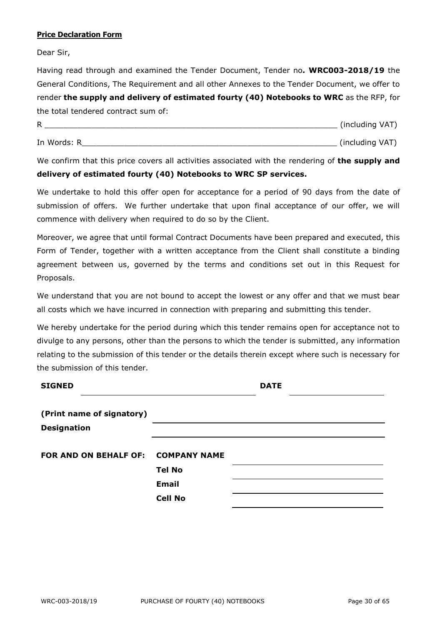# **Price Declaration Form**

Dear Sir,

Having read through and examined the Tender Document, Tender no*.* **WRC003-2018/19** the General Conditions, The Requirement and all other Annexes to the Tender Document, we offer to render **the supply and delivery of estimated fourty (40) Notebooks to WRC** as the RFP, for the total tendered contract sum of:

| R           | (including VAT) |
|-------------|-----------------|
| In Words: R | (including VAT) |

We confirm that this price covers all activities associated with the rendering of **the supply and delivery of estimated fourty (40) Notebooks to WRC SP services.**

We undertake to hold this offer open for acceptance for a period of 90 days from the date of submission of offers. We further undertake that upon final acceptance of our offer, we will commence with delivery when required to do so by the Client.

Moreover, we agree that until formal Contract Documents have been prepared and executed, this Form of Tender, together with a written acceptance from the Client shall constitute a binding agreement between us, governed by the terms and conditions set out in this Request for Proposals.

We understand that you are not bound to accept the lowest or any offer and that we must bear all costs which we have incurred in connection with preparing and submitting this tender.

We hereby undertake for the period during which this tender remains open for acceptance not to divulge to any persons, other than the persons to which the tender is submitted, any information relating to the submission of this tender or the details therein except where such is necessary for the submission of this tender.

| <b>SIGNED</b>                |                     | <b>DATE</b> |  |
|------------------------------|---------------------|-------------|--|
| (Print name of signatory)    |                     |             |  |
| <b>Designation</b>           |                     |             |  |
| <b>FOR AND ON BEHALF OF:</b> | <b>COMPANY NAME</b> |             |  |
|                              | <b>Tel No</b>       |             |  |
|                              | <b>Email</b>        |             |  |
|                              | <b>Cell No</b>      |             |  |
|                              |                     |             |  |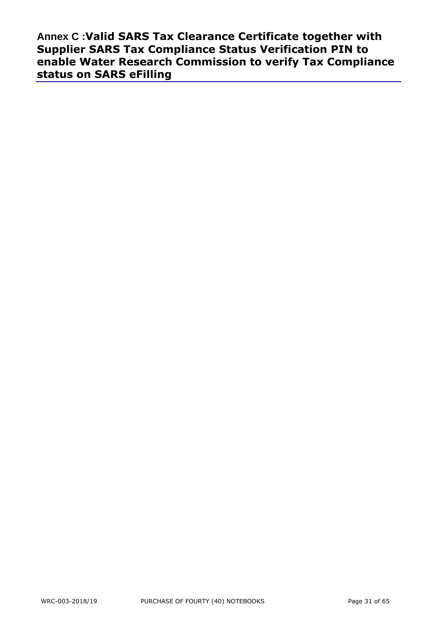**Annex C :Valid SARS Tax Clearance Certificate together with Supplier SARS Tax Compliance Status Verification PIN to enable Water Research Commission to verify Tax Compliance status on SARS eFilling**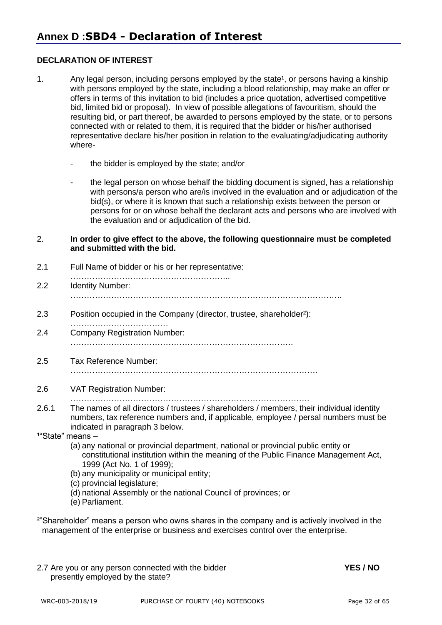# **DECLARATION OF INTEREST**

- 1. Any legal person, including persons employed by the state<sup>1</sup>, or persons having a kinship with persons employed by the state, including a blood relationship, may make an offer or offers in terms of this invitation to bid (includes a price quotation, advertised competitive bid, limited bid or proposal). In view of possible allegations of favouritism, should the resulting bid, or part thereof, be awarded to persons employed by the state, or to persons connected with or related to them, it is required that the bidder or his/her authorised representative declare his/her position in relation to the evaluating/adjudicating authority where-
	- the bidder is employed by the state; and/or
	- the legal person on whose behalf the bidding document is signed, has a relationship with persons/a person who are/is involved in the evaluation and or adjudication of the bid(s), or where it is known that such a relationship exists between the person or persons for or on whose behalf the declarant acts and persons who are involved with the evaluation and or adjudication of the bid.
- 2. **In order to give effect to the above, the following questionnaire must be completed and submitted with the bid.**
- 2.1 Full Name of bidder or his or her representative:
- ………………………………………………….. 2.2 Identity Number: ……………………………………………………………………………………….
- 2.3 Position occupied in the Company (director, trustee, shareholder²):
- ……………………………… 2.4 Company Registration Number: ……………………………………………………………………….
- 2.5 Tax Reference Number:
	- ……………………………………………………………………………….
- 2.6 VAT Registration Number:
	- …………………………………………………………………………….
- 2.6.1 The names of all directors / trustees / shareholders / members, their individual identity numbers, tax reference numbers and, if applicable, employee / persal numbers must be indicated in paragraph 3 below.
- $1^{\circ}$ State" means  $-$ 
	- (a) any national or provincial department, national or provincial public entity or constitutional institution within the meaning of the Public Finance Management Act, 1999 (Act No. 1 of 1999);
	- (b) any municipality or municipal entity;
	- (c) provincial legislature;
	- (d) national Assembly or the national Council of provinces; or
	- (e) Parliament.

²"Shareholder" means a person who owns shares in the company and is actively involved in the management of the enterprise or business and exercises control over the enterprise.

2.7 Are you or any person connected with the bidder **YES / NO** presently employed by the state?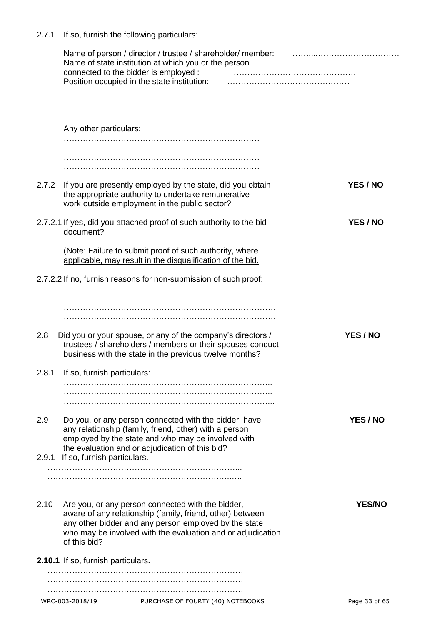2.7.1 If so, furnish the following particulars:

|       |                                    | Name of person / director / trustee / shareholder/ member:<br>Name of state institution at which you or the person<br>connected to the bidder is employed :<br>Position occupied in the state institution:                             |               |
|-------|------------------------------------|----------------------------------------------------------------------------------------------------------------------------------------------------------------------------------------------------------------------------------------|---------------|
|       |                                    |                                                                                                                                                                                                                                        |               |
|       | Any other particulars:             |                                                                                                                                                                                                                                        |               |
|       |                                    |                                                                                                                                                                                                                                        |               |
|       |                                    |                                                                                                                                                                                                                                        |               |
| 2.7.2 |                                    | If you are presently employed by the state, did you obtain<br>the appropriate authority to undertake remunerative<br>work outside employment in the public sector?                                                                     | YES / NO      |
|       | document?                          | 2.7.2.1 If yes, did you attached proof of such authority to the bid                                                                                                                                                                    | YES / NO      |
|       |                                    | (Note: Failure to submit proof of such authority, where<br>applicable, may result in the disqualification of the bid.                                                                                                                  |               |
|       |                                    | 2.7.2.2 If no, furnish reasons for non-submission of such proof:                                                                                                                                                                       |               |
|       |                                    |                                                                                                                                                                                                                                        |               |
|       |                                    |                                                                                                                                                                                                                                        |               |
| 2.8   |                                    | Did you or your spouse, or any of the company's directors /<br>trustees / shareholders / members or their spouses conduct<br>business with the state in the previous twelve months?                                                    | YES / NO      |
| 2.8.1 | If so, furnish particulars:        |                                                                                                                                                                                                                                        |               |
|       |                                    |                                                                                                                                                                                                                                        |               |
| 2.9   |                                    | Do you, or any person connected with the bidder, have<br>any relationship (family, friend, other) with a person<br>employed by the state and who may be involved with<br>the evaluation and or adjudication of this bid?               | YES / NO      |
| 2.9.1 | If so, furnish particulars.        |                                                                                                                                                                                                                                        |               |
|       |                                    |                                                                                                                                                                                                                                        |               |
| 2.10  | of this bid?                       | Are you, or any person connected with the bidder,<br>aware of any relationship (family, friend, other) between<br>any other bidder and any person employed by the state<br>who may be involved with the evaluation and or adjudication | <b>YES/NO</b> |
|       | 2.10.1 If so, furnish particulars. |                                                                                                                                                                                                                                        |               |
|       |                                    |                                                                                                                                                                                                                                        |               |
|       |                                    |                                                                                                                                                                                                                                        |               |
|       | WRC-003-2018/19                    | PURCHASE OF FOURTY (40) NOTEBOOKS                                                                                                                                                                                                      | Page 33 of 65 |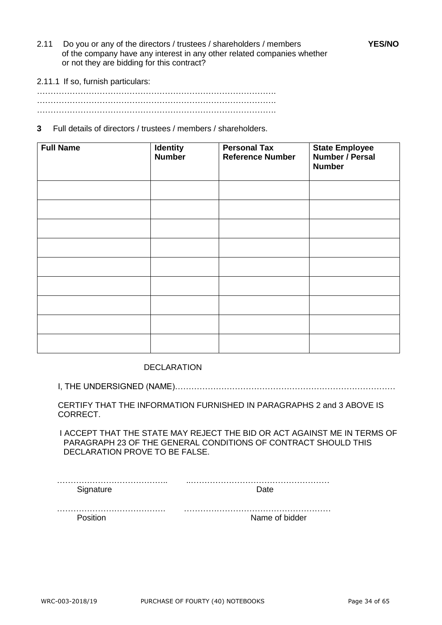- 2.11 Do you or any of the directors / trustees / shareholders / members **YES/NO** of the company have any interest in any other related companies whether or not they are bidding for this contract?
- 2.11.1 If so, furnish particulars:

……………………………………………………………………………. ……………………………………………………………………………. …………………………………………………………………………….

**3** Full details of directors / trustees / members / shareholders.

| <b>Full Name</b> | <b>Identity</b><br>Number | <b>Personal Tax</b><br><b>Reference Number</b> | <b>State Employee</b><br>Number / Persal<br><b>Number</b> |
|------------------|---------------------------|------------------------------------------------|-----------------------------------------------------------|
|                  |                           |                                                |                                                           |
|                  |                           |                                                |                                                           |
|                  |                           |                                                |                                                           |
|                  |                           |                                                |                                                           |
|                  |                           |                                                |                                                           |
|                  |                           |                                                |                                                           |
|                  |                           |                                                |                                                           |
|                  |                           |                                                |                                                           |
|                  |                           |                                                |                                                           |

DECLARATION

I, THE UNDERSIGNED (NAME)………………………………………………………………………

CERTIFY THAT THE INFORMATION FURNISHED IN PARAGRAPHS 2 and 3 ABOVE IS CORRECT.

 I ACCEPT THAT THE STATE MAY REJECT THE BID OR ACT AGAINST ME IN TERMS OF PARAGRAPH 23 OF THE GENERAL CONDITIONS OF CONTRACT SHOULD THIS DECLARATION PROVE TO BE FALSE.

…………………………………. ………………………………………………

Position **Name of bidder**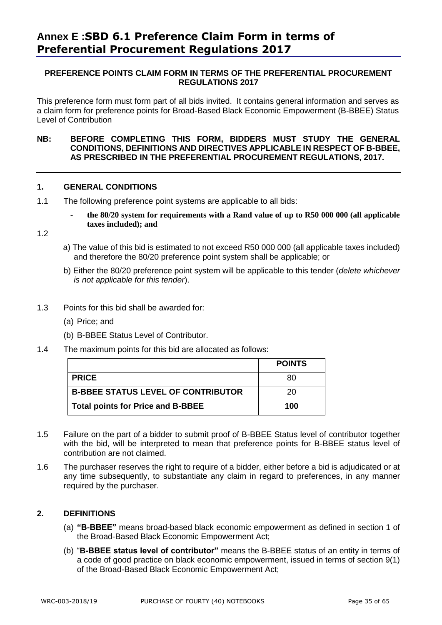# **PREFERENCE POINTS CLAIM FORM IN TERMS OF THE PREFERENTIAL PROCUREMENT REGULATIONS 2017**

This preference form must form part of all bids invited. It contains general information and serves as a claim form for preference points for Broad-Based Black Economic Empowerment (B-BBEE) Status Level of Contribution

# **NB: BEFORE COMPLETING THIS FORM, BIDDERS MUST STUDY THE GENERAL CONDITIONS, DEFINITIONS AND DIRECTIVES APPLICABLE IN RESPECT OF B-BBEE, AS PRESCRIBED IN THE PREFERENTIAL PROCUREMENT REGULATIONS, 2017.**

# **1. GENERAL CONDITIONS**

- 1.1 The following preference point systems are applicable to all bids:
	- **the 80/20 system for requirements with a Rand value of up to R50 000 000 (all applicable taxes included); and**

1.2

- a) The value of this bid is estimated to not exceed R50 000 000 (all applicable taxes included) and therefore the 80/20 preference point system shall be applicable; or
- b) Either the 80/20 preference point system will be applicable to this tender (*delete whichever is not applicable for this tender*).
- 1.3 Points for this bid shall be awarded for:
	- (a) Price; and
	- (b) B-BBEE Status Level of Contributor.
- 1.4 The maximum points for this bid are allocated as follows:

|                                           | <b>POINTS</b> |
|-------------------------------------------|---------------|
| <b>PRICE</b>                              | 80            |
| <b>B-BBEE STATUS LEVEL OF CONTRIBUTOR</b> | 20            |
| <b>Total points for Price and B-BBEE</b>  | 100           |

- 1.5 Failure on the part of a bidder to submit proof of B-BBEE Status level of contributor together with the bid, will be interpreted to mean that preference points for B-BBEE status level of contribution are not claimed.
- 1.6 The purchaser reserves the right to require of a bidder, either before a bid is adjudicated or at any time subsequently, to substantiate any claim in regard to preferences, in any manner required by the purchaser.

# **2. DEFINITIONS**

- (a) **"B-BBEE"** means broad-based black economic empowerment as defined in section 1 of the Broad-Based Black Economic Empowerment Act;
- (b) "**B-BBEE status level of contributor"** means the B-BBEE status of an entity in terms of a code of good practice on black economic empowerment, issued in terms of section 9(1) of the Broad-Based Black Economic Empowerment Act;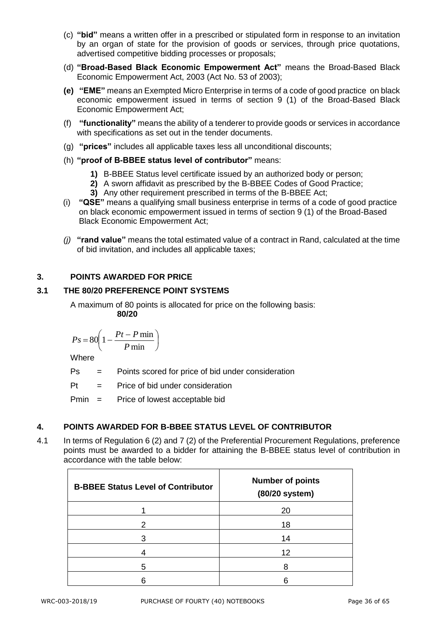- (c) **"bid"** means a written offer in a prescribed or stipulated form in response to an invitation by an organ of state for the provision of goods or services, through price quotations, advertised competitive bidding processes or proposals;
- (d) **"Broad-Based Black Economic Empowerment Act"** means the Broad-Based Black Economic Empowerment Act, 2003 (Act No. 53 of 2003);
- **(e) "EME"** means an Exempted Micro Enterprise in terms of a code of good practice on black economic empowerment issued in terms of section 9 (1) of the Broad-Based Black Economic Empowerment Act;
- (f) **"functionality"** means the ability of a tenderer to provide goods or services in accordance with specifications as set out in the tender documents.
- (g) **"prices"** includes all applicable taxes less all unconditional discounts;
- (h) **"proof of B-BBEE status level of contributor"** means:
	- **1)** B-BBEE Status level certificate issued by an authorized body or person;
	- **2)** A sworn affidavit as prescribed by the B-BBEE Codes of Good Practice;
	- **3)** Any other requirement prescribed in terms of the B-BBEE Act;
- (i) **"QSE"** means a qualifying small business enterprise in terms of a code of good practice on black economic empowerment issued in terms of section 9 (1) of the Broad-Based Black Economic Empowerment Act;
- *(j)* **"rand value"** means the total estimated value of a contract in Rand, calculated at the time of bid invitation, and includes all applicable taxes;

# **3. POINTS AWARDED FOR PRICE**

# **3.1 THE 80/20 PREFERENCE POINT SYSTEMS**

A maximum of 80 points is allocated for price on the following basis: **80/20**

$$
Ps = 80 \left( 1 - \frac{Pt - P \min}{P \min} \right)
$$

Where

Ps = Points scored for price of bid under consideration

 $Pt =$  Price of bid under consideration

Pmin = Price of lowest acceptable bid

# **4. POINTS AWARDED FOR B-BBEE STATUS LEVEL OF CONTRIBUTOR**

4.1 In terms of Regulation 6 (2) and 7 (2) of the Preferential Procurement Regulations, preference points must be awarded to a bidder for attaining the B-BBEE status level of contribution in accordance with the table below:

| <b>B-BBEE Status Level of Contributor</b> | <b>Number of points</b><br>(80/20 system) |
|-------------------------------------------|-------------------------------------------|
|                                           | 20                                        |
| 2                                         | 18                                        |
| З                                         | 14                                        |
|                                           | 12                                        |
| 5                                         |                                           |
|                                           |                                           |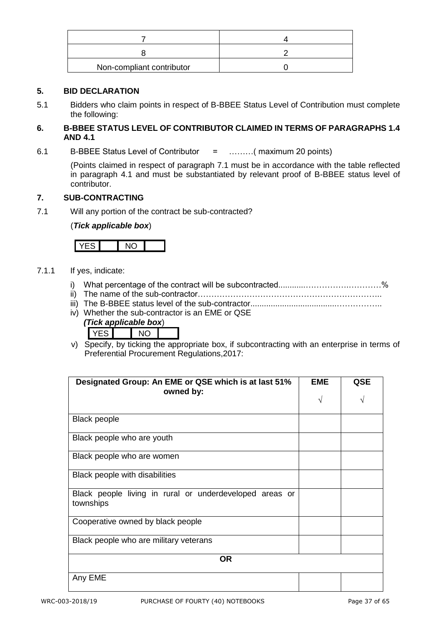| Non-compliant contributor |  |
|---------------------------|--|

# **5. BID DECLARATION**

5.1 Bidders who claim points in respect of B-BBEE Status Level of Contribution must complete the following:

# **6. B-BBEE STATUS LEVEL OF CONTRIBUTOR CLAIMED IN TERMS OF PARAGRAPHS 1.4 AND 4.1**

6.1 B-BBEE Status Level of Contributor = ………( maximum 20 points)

(Points claimed in respect of paragraph 7.1 must be in accordance with the table reflected in paragraph 4.1 and must be substantiated by relevant proof of B-BBEE status level of contributor.

# **7. SUB-CONTRACTING**

7.1 Will any portion of the contract be sub-contracted?

# (*Tick applicable box*)

# 7.1.1 If yes, indicate:

- i) What percentage of the contract will be subcontracted............…………….…………%
- ii) The name of the sub-contractor…………………………………………………………..
- iii) The B-BBEE status level of the sub-contractor......................................……………..
- iv) Whether the sub-contractor is an EME or QSE

|  | (Tick applicable box) |  |
|--|-----------------------|--|
|  |                       |  |

v) Specify, by ticking the appropriate box, if subcontracting with an enterprise in terms of Preferential Procurement Regulations,2017:

| Designated Group: An EME or QSE which is at last 51%<br>owned by:    | <b>EME</b><br>V | <b>QSE</b> |
|----------------------------------------------------------------------|-----------------|------------|
| <b>Black people</b>                                                  |                 |            |
| Black people who are youth                                           |                 |            |
| Black people who are women                                           |                 |            |
| Black people with disabilities                                       |                 |            |
| Black people living in rural or underdeveloped areas or<br>townships |                 |            |
| Cooperative owned by black people                                    |                 |            |
| Black people who are military veterans                               |                 |            |
| <b>OR</b>                                                            |                 |            |
| Any EME                                                              |                 |            |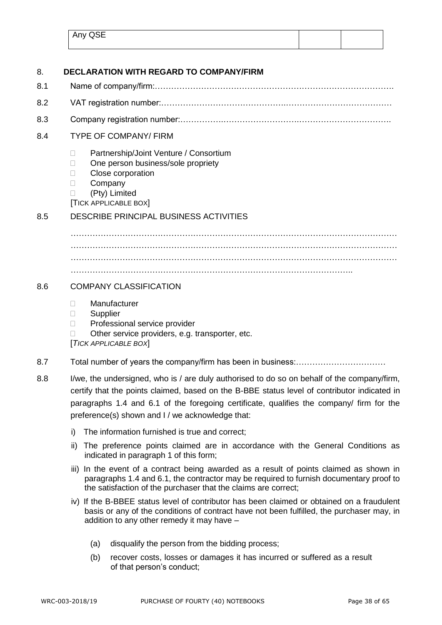| Any QSE |  |
|---------|--|
|         |  |

| 8.  | <b>DECLARATION WITH REGARD TO COMPANY/FIRM</b>                                                                                                                                                                                                                                                                                              |  |
|-----|---------------------------------------------------------------------------------------------------------------------------------------------------------------------------------------------------------------------------------------------------------------------------------------------------------------------------------------------|--|
| 8.1 |                                                                                                                                                                                                                                                                                                                                             |  |
| 8.2 |                                                                                                                                                                                                                                                                                                                                             |  |
| 8.3 |                                                                                                                                                                                                                                                                                                                                             |  |
| 8.4 | <b>TYPE OF COMPANY/ FIRM</b>                                                                                                                                                                                                                                                                                                                |  |
|     | Partnership/Joint Venture / Consortium<br>$\Box$<br>One person business/sole propriety<br>Ш<br>Close corporation<br>$\Box$<br>Company<br>$\Box$<br>(Pty) Limited<br>П<br><b>TICK APPLICABLE BOX</b>                                                                                                                                         |  |
| 8.5 | <b>DESCRIBE PRINCIPAL BUSINESS ACTIVITIES</b>                                                                                                                                                                                                                                                                                               |  |
|     |                                                                                                                                                                                                                                                                                                                                             |  |
| 8.6 | <b>COMPANY CLASSIFICATION</b>                                                                                                                                                                                                                                                                                                               |  |
|     | Manufacturer<br>$\mathbf{L}$<br>Supplier<br>П<br>Professional service provider<br>Other service providers, e.g. transporter, etc.<br>[TICK APPLICABLE BOX]                                                                                                                                                                                  |  |
| 8.7 |                                                                                                                                                                                                                                                                                                                                             |  |
| 8.8 | I/we, the undersigned, who is / are duly authorised to do so on behalf of the company/firm,<br>certify that the points claimed, based on the B-BBE status level of contributor indicated in<br>paragraphs 1.4 and 6.1 of the foregoing certificate, qualifies the company/ firm for the<br>preference(s) shown and I / we acknowledge that: |  |
|     | The information furnished is true and correct;<br>i)                                                                                                                                                                                                                                                                                        |  |
|     | The preference points claimed are in accordance with the General Conditions as<br>ii)<br>indicated in paragraph 1 of this form;                                                                                                                                                                                                             |  |
|     | iii) In the event of a contract being awarded as a result of points claimed as shown in<br>paragraphs 1.4 and 6.1, the contractor may be required to furnish documentary proof to<br>the satisfaction of the purchaser that the claims are correct;                                                                                         |  |
|     | iv) If the B-BBEE status level of contributor has been claimed or obtained on a fraudulent<br>basis or any of the conditions of contract have not been fulfilled, the purchaser may, in<br>addition to any other remedy it may have -                                                                                                       |  |

- (a) disqualify the person from the bidding process;
- (b) recover costs, losses or damages it has incurred or suffered as a result of that person's conduct;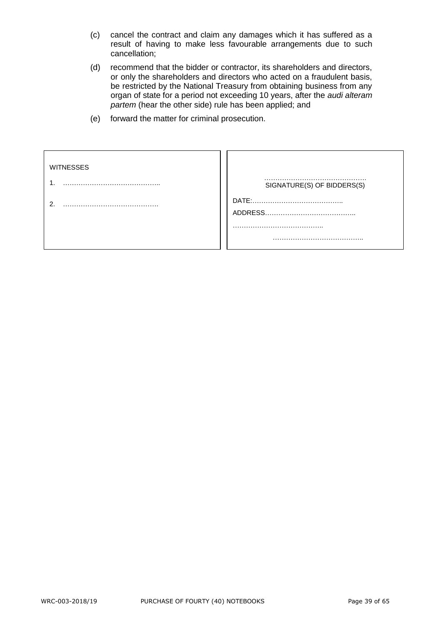- (c) cancel the contract and claim any damages which it has suffered as a result of having to make less favourable arrangements due to such cancellation;
- (d) recommend that the bidder or contractor, its shareholders and directors, or only the shareholders and directors who acted on a fraudulent basis, be restricted by the National Treasury from obtaining business from any organ of state for a period not exceeding 10 years, after the *audi alteram partem* (hear the other side) rule has been applied; and
- (e) forward the matter for criminal prosecution.

| <b>WITNESSES</b> |                            |
|------------------|----------------------------|
|                  | SIGNATURE(S) OF BIDDERS(S) |
|                  |                            |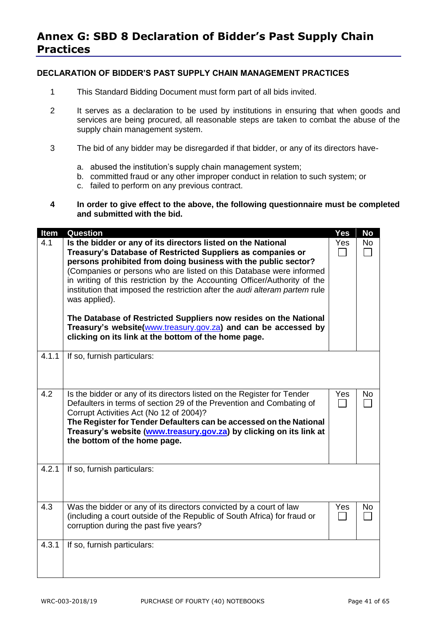# **DECLARATION OF BIDDER'S PAST SUPPLY CHAIN MANAGEMENT PRACTICES**

- 1 This Standard Bidding Document must form part of all bids invited.
- 2 It serves as a declaration to be used by institutions in ensuring that when goods and services are being procured, all reasonable steps are taken to combat the abuse of the supply chain management system.
- 3 The bid of any bidder may be disregarded if that bidder, or any of its directors have
	- a. abused the institution's supply chain management system;
	- b. committed fraud or any other improper conduct in relation to such system; or
	- c. failed to perform on any previous contract.
- **4 In order to give effect to the above, the following questionnaire must be completed and submitted with the bid.**

| Item  | <b>Question</b>                                                                                                                                                                                                                                                                                                                                                                                                                                                                                                                                                                                                                                 | <b>Yes</b> | <b>No</b> |
|-------|-------------------------------------------------------------------------------------------------------------------------------------------------------------------------------------------------------------------------------------------------------------------------------------------------------------------------------------------------------------------------------------------------------------------------------------------------------------------------------------------------------------------------------------------------------------------------------------------------------------------------------------------------|------------|-----------|
| 4.1   | Is the bidder or any of its directors listed on the National<br>Treasury's Database of Restricted Suppliers as companies or<br>persons prohibited from doing business with the public sector?<br>(Companies or persons who are listed on this Database were informed<br>in writing of this restriction by the Accounting Officer/Authority of the<br>institution that imposed the restriction after the audi alteram partem rule<br>was applied).<br>The Database of Restricted Suppliers now resides on the National<br>Treasury's website(www.treasury.gov.za) and can be accessed by<br>clicking on its link at the bottom of the home page. | Yes        | <b>No</b> |
| 4.1.1 | If so, furnish particulars:                                                                                                                                                                                                                                                                                                                                                                                                                                                                                                                                                                                                                     |            |           |
| 4.2   | Is the bidder or any of its directors listed on the Register for Tender<br>Defaulters in terms of section 29 of the Prevention and Combating of<br>Corrupt Activities Act (No 12 of 2004)?<br>The Register for Tender Defaulters can be accessed on the National<br>Treasury's website (www.treasury.gov.za) by clicking on its link at<br>the bottom of the home page.                                                                                                                                                                                                                                                                         | Yes        | No.       |
| 4.2.1 | If so, furnish particulars:                                                                                                                                                                                                                                                                                                                                                                                                                                                                                                                                                                                                                     |            |           |
| 4.3   | Was the bidder or any of its directors convicted by a court of law<br>(including a court outside of the Republic of South Africa) for fraud or<br>corruption during the past five years?                                                                                                                                                                                                                                                                                                                                                                                                                                                        | Yes        | No        |
| 4.3.1 | If so, furnish particulars:                                                                                                                                                                                                                                                                                                                                                                                                                                                                                                                                                                                                                     |            |           |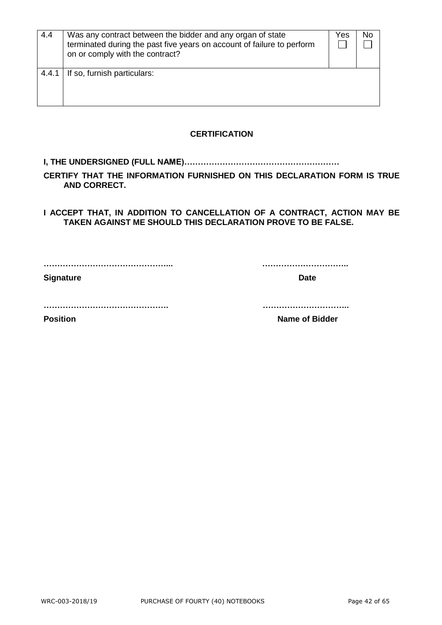| 4.4   | Was any contract between the bidder and any organ of state<br>terminated during the past five years on account of failure to perform<br>on or comply with the contract? | Yes | No |
|-------|-------------------------------------------------------------------------------------------------------------------------------------------------------------------------|-----|----|
| 4.4.1 | If so, furnish particulars:                                                                                                                                             |     |    |

# **CERTIFICATION**

# **I, THE UNDERSIGNED (FULL NAME)…………………………………………………**

**CERTIFY THAT THE INFORMATION FURNISHED ON THIS DECLARATION FORM IS TRUE AND CORRECT.**

**I ACCEPT THAT, IN ADDITION TO CANCELLATION OF A CONTRACT, ACTION MAY BE TAKEN AGAINST ME SHOULD THIS DECLARATION PROVE TO BE FALSE.**

**………………………………………... …………………………..**

**Signature Date** 

**………………………………………. …………………………..**

**Position Constanting Constanting Constanting Constanting Constanting Constanting Constanting Constanting Constanting Constanting Constanting Constanting Constanting Constanting Constanting Constanting Constanting Consta**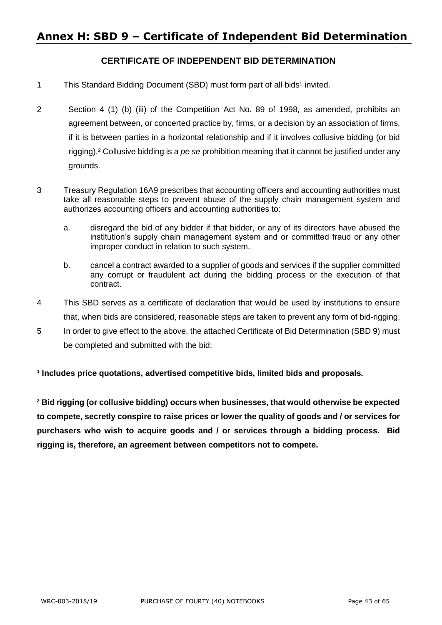# **CERTIFICATE OF INDEPENDENT BID DETERMINATION**

- 1 This Standard Bidding Document (SBD) must form part of all bids<sup>1</sup> invited.
- 2 Section 4 (1) (b) (iii) of the Competition Act No. 89 of 1998, as amended, prohibits an agreement between, or concerted practice by, firms, or a decision by an association of firms, if it is between parties in a horizontal relationship and if it involves collusive bidding (or bid rigging).² Collusive bidding is a *pe se* prohibition meaning that it cannot be justified under any grounds.
- 3 Treasury Regulation 16A9 prescribes that accounting officers and accounting authorities must take all reasonable steps to prevent abuse of the supply chain management system and authorizes accounting officers and accounting authorities to:
	- a. disregard the bid of any bidder if that bidder, or any of its directors have abused the institution's supply chain management system and or committed fraud or any other improper conduct in relation to such system.
	- b. cancel a contract awarded to a supplier of goods and services if the supplier committed any corrupt or fraudulent act during the bidding process or the execution of that contract.
- 4 This SBD serves as a certificate of declaration that would be used by institutions to ensure that, when bids are considered, reasonable steps are taken to prevent any form of bid-rigging.
- 5 In order to give effect to the above, the attached Certificate of Bid Determination (SBD 9) must be completed and submitted with the bid:

**¹ Includes price quotations, advertised competitive bids, limited bids and proposals.**

**² Bid rigging (or collusive bidding) occurs when businesses, that would otherwise be expected to compete, secretly conspire to raise prices or lower the quality of goods and / or services for purchasers who wish to acquire goods and / or services through a bidding process. Bid rigging is, therefore, an agreement between competitors not to compete.**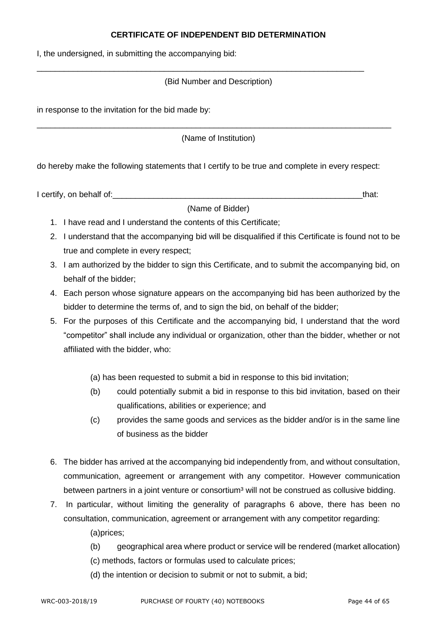# **CERTIFICATE OF INDEPENDENT BID DETERMINATION**

I, the undersigned, in submitting the accompanying bid:

# (Bid Number and Description)

\_\_\_\_\_\_\_\_\_\_\_\_\_\_\_\_\_\_\_\_\_\_\_\_\_\_\_\_\_\_\_\_\_\_\_\_\_\_\_\_\_\_\_\_\_\_\_\_\_\_\_\_\_\_\_\_\_\_\_\_\_\_\_\_\_\_\_\_\_\_\_\_

in response to the invitation for the bid made by:

(Name of Institution)

\_\_\_\_\_\_\_\_\_\_\_\_\_\_\_\_\_\_\_\_\_\_\_\_\_\_\_\_\_\_\_\_\_\_\_\_\_\_\_\_\_\_\_\_\_\_\_\_\_\_\_\_\_\_\_\_\_\_\_\_\_\_\_\_\_\_\_\_\_\_\_\_\_\_\_\_\_\_

do hereby make the following statements that I certify to be true and complete in every respect:

I certify, on behalf of:  $\blacksquare$ 

(Name of Bidder)

- 1. I have read and I understand the contents of this Certificate;
- 2. I understand that the accompanying bid will be disqualified if this Certificate is found not to be true and complete in every respect;
- 3. I am authorized by the bidder to sign this Certificate, and to submit the accompanying bid, on behalf of the bidder;
- 4. Each person whose signature appears on the accompanying bid has been authorized by the bidder to determine the terms of, and to sign the bid, on behalf of the bidder;
- 5. For the purposes of this Certificate and the accompanying bid, I understand that the word "competitor" shall include any individual or organization, other than the bidder, whether or not affiliated with the bidder, who:
	- (a) has been requested to submit a bid in response to this bid invitation;
	- (b) could potentially submit a bid in response to this bid invitation, based on their qualifications, abilities or experience; and
	- (c) provides the same goods and services as the bidder and/or is in the same line of business as the bidder
- 6. The bidder has arrived at the accompanying bid independently from, and without consultation, communication, agreement or arrangement with any competitor. However communication between partners in a joint venture or consortium<sup>3</sup> will not be construed as collusive bidding.
- 7. In particular, without limiting the generality of paragraphs 6 above, there has been no consultation, communication, agreement or arrangement with any competitor regarding:

(a)prices;

- (b) geographical area where product or service will be rendered (market allocation)
- (c) methods, factors or formulas used to calculate prices;
- (d) the intention or decision to submit or not to submit, a bid;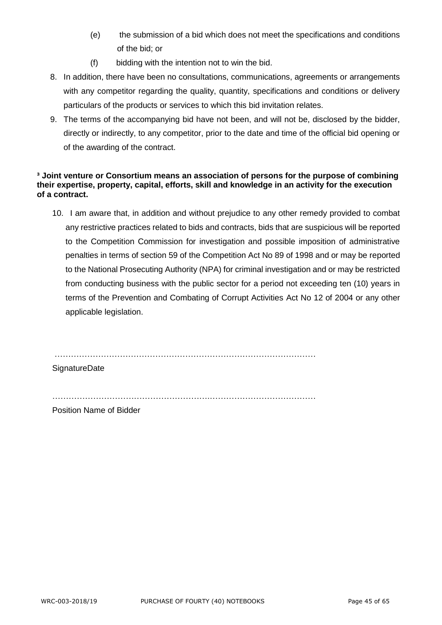- (e) the submission of a bid which does not meet the specifications and conditions of the bid; or
- (f) bidding with the intention not to win the bid.
- 8. In addition, there have been no consultations, communications, agreements or arrangements with any competitor regarding the quality, quantity, specifications and conditions or delivery particulars of the products or services to which this bid invitation relates.
- 9. The terms of the accompanying bid have not been, and will not be, disclosed by the bidder, directly or indirectly, to any competitor, prior to the date and time of the official bid opening or of the awarding of the contract.

# **³ Joint venture or Consortium means an association of persons for the purpose of combining their expertise, property, capital, efforts, skill and knowledge in an activity for the execution of a contract.**

10. I am aware that, in addition and without prejudice to any other remedy provided to combat any restrictive practices related to bids and contracts, bids that are suspicious will be reported to the Competition Commission for investigation and possible imposition of administrative penalties in terms of section 59 of the Competition Act No 89 of 1998 and or may be reported to the National Prosecuting Authority (NPA) for criminal investigation and or may be restricted from conducting business with the public sector for a period not exceeding ten (10) years in terms of the Prevention and Combating of Corrupt Activities Act No 12 of 2004 or any other applicable legislation.

……………………………………………………………………………………

**SignatureDate** 

………………………………………………….…………………………………

Position Name of Bidder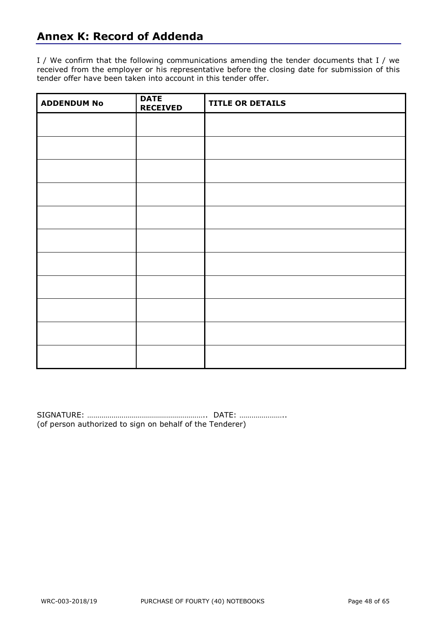# **Annex K: Record of Addenda**

I / We confirm that the following communications amending the tender documents that I / we received from the employer or his representative before the closing date for submission of this tender offer have been taken into account in this tender offer.

| <b>ADDENDUM No</b> | <b>DATE</b><br><b>RECEIVED</b> | <b>TITLE OR DETAILS</b> |
|--------------------|--------------------------------|-------------------------|
|                    |                                |                         |
|                    |                                |                         |
|                    |                                |                         |
|                    |                                |                         |
|                    |                                |                         |
|                    |                                |                         |
|                    |                                |                         |
|                    |                                |                         |
|                    |                                |                         |
|                    |                                |                         |
|                    |                                |                         |

SIGNATURE: ………………………………………………….. DATE: ………………….. (of person authorized to sign on behalf of the Tenderer)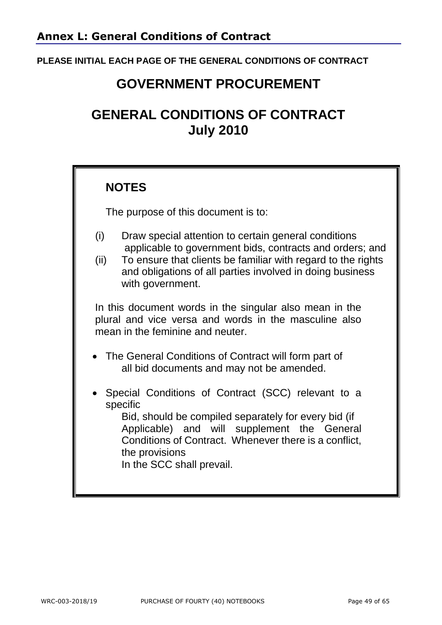# **PLEASE INITIAL EACH PAGE OF THE GENERAL CONDITIONS OF CONTRACT**

# **GOVERNMENT PROCUREMENT**

# **GENERAL CONDITIONS OF CONTRACT July 2010**

# **NOTES**

The purpose of this document is to:

- (i) Draw special attention to certain general conditions applicable to government bids, contracts and orders; and
- (ii) To ensure that clients be familiar with regard to the rights and obligations of all parties involved in doing business with government.

In this document words in the singular also mean in the plural and vice versa and words in the masculine also mean in the feminine and neuter.

- The General Conditions of Contract will form part of all bid documents and may not be amended.
- Special Conditions of Contract (SCC) relevant to a specific

Bid, should be compiled separately for every bid (if Applicable) and will supplement the General Conditions of Contract. Whenever there is a conflict, the provisions

In the SCC shall prevail.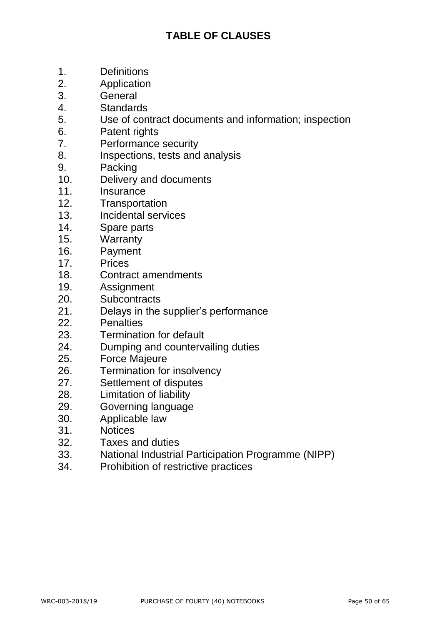# **TABLE OF CLAUSES**

- 1. Definitions
- 2. Application
- 3. General
- 4. Standards
- 5. Use of contract documents and information; inspection
- 6. Patent rights
- 7. Performance security
- 8. Inspections, tests and analysis
- 9. Packing
- 10. Delivery and documents
- 11. Insurance
- 12. Transportation
- 13. Incidental services
- 14. Spare parts
- 15. Warranty
- 16. Payment
- 17. Prices
- 18. Contract amendments
- 19. Assignment
- 20. Subcontracts
- 21. Delays in the supplier's performance
- 22. Penalties
- 23. Termination for default
- 24. Dumping and countervailing duties
- 25. Force Majeure
- 26. Termination for insolvency
- 27. Settlement of disputes
- 28. Limitation of liability
- 29. Governing language
- 30. Applicable law
- 31. Notices
- 32. Taxes and duties
- 33. National Industrial Participation Programme (NIPP)
- 34. Prohibition of restrictive practices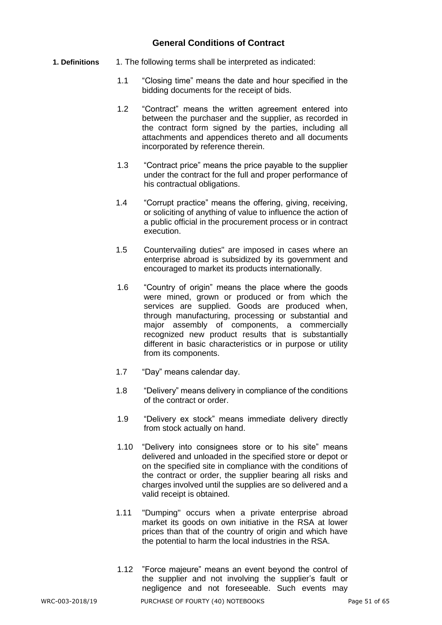# **General Conditions of Contract**

- **1. Definitions** 1. The following terms shall be interpreted as indicated:
	- 1.1 "Closing time" means the date and hour specified in the bidding documents for the receipt of bids.
	- 1.2 "Contract" means the written agreement entered into between the purchaser and the supplier, as recorded in the contract form signed by the parties, including all attachments and appendices thereto and all documents incorporated by reference therein.
	- 1.3 "Contract price" means the price payable to the supplier under the contract for the full and proper performance of his contractual obligations.
	- 1.4 "Corrupt practice" means the offering, giving, receiving, or soliciting of anything of value to influence the action of a public official in the procurement process or in contract execution.
	- 1.5 Countervailing duties" are imposed in cases where an enterprise abroad is subsidized by its government and encouraged to market its products internationally.
	- 1.6 "Country of origin" means the place where the goods were mined, grown or produced or from which the services are supplied. Goods are produced when, through manufacturing, processing or substantial and major assembly of components, a commercially recognized new product results that is substantially different in basic characteristics or in purpose or utility from its components.
	- 1.7 "Day" means calendar day.
	- 1.8 "Delivery" means delivery in compliance of the conditions of the contract or order.
	- 1.9 "Delivery ex stock" means immediate delivery directly from stock actually on hand.
	- 1.10 "Delivery into consignees store or to his site" means delivered and unloaded in the specified store or depot or on the specified site in compliance with the conditions of the contract or order, the supplier bearing all risks and charges involved until the supplies are so delivered and a valid receipt is obtained.
	- 1.11 "Dumping" occurs when a private enterprise abroad market its goods on own initiative in the RSA at lower prices than that of the country of origin and which have the potential to harm the local industries in the RSA.
	- 1.12 "Force majeure" means an event beyond the control of the supplier and not involving the supplier's fault or negligence and not foreseeable. Such events may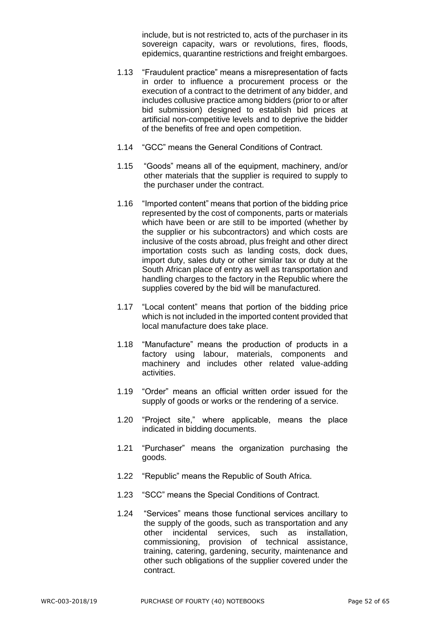include, but is not restricted to, acts of the purchaser in its sovereign capacity, wars or revolutions, fires, floods, epidemics, quarantine restrictions and freight embargoes.

- 1.13 "Fraudulent practice" means a misrepresentation of facts in order to influence a procurement process or the execution of a contract to the detriment of any bidder, and includes collusive practice among bidders (prior to or after bid submission) designed to establish bid prices at artificial non-competitive levels and to deprive the bidder of the benefits of free and open competition.
- 1.14 "GCC" means the General Conditions of Contract.
- 1.15 "Goods" means all of the equipment, machinery, and/or other materials that the supplier is required to supply to the purchaser under the contract.
- 1.16 "Imported content" means that portion of the bidding price represented by the cost of components, parts or materials which have been or are still to be imported (whether by the supplier or his subcontractors) and which costs are inclusive of the costs abroad, plus freight and other direct importation costs such as landing costs, dock dues, import duty, sales duty or other similar tax or duty at the South African place of entry as well as transportation and handling charges to the factory in the Republic where the supplies covered by the bid will be manufactured.
- 1.17 "Local content" means that portion of the bidding price which is not included in the imported content provided that local manufacture does take place.
- 1.18 "Manufacture" means the production of products in a factory using labour, materials, components and machinery and includes other related value-adding activities.
- 1.19 "Order" means an official written order issued for the supply of goods or works or the rendering of a service.
- 1.20 "Project site," where applicable, means the place indicated in bidding documents.
- 1.21 "Purchaser" means the organization purchasing the goods.
- 1.22 "Republic" means the Republic of South Africa.
- 1.23 "SCC" means the Special Conditions of Contract.
- 1.24 "Services" means those functional services ancillary to the supply of the goods, such as transportation and any other incidental services, such as installation, commissioning, provision of technical assistance, training, catering, gardening, security, maintenance and other such obligations of the supplier covered under the contract.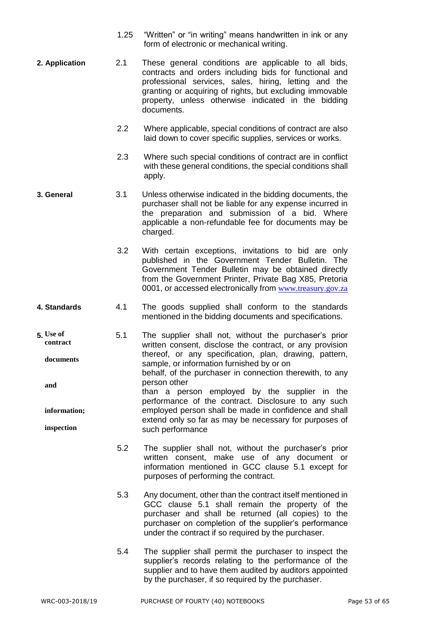- 1.25 "Written" or "in writing" means handwritten in ink or any form of electronic or mechanical writing.
- **2. Application** 2.1 These general conditions are applicable to all bids, contracts and orders including bids for functional and professional services, sales, hiring, letting and the granting or acquiring of rights, but excluding immovable property, unless otherwise indicated in the bidding documents.
	- 2.2 Where applicable, special conditions of contract are also laid down to cover specific supplies, services or works.
	- 2.3 Where such special conditions of contract are in conflict with these general conditions, the special conditions shall apply.
- **3. General** 3.1 Unless otherwise indicated in the bidding documents, the purchaser shall not be liable for any expense incurred in the preparation and submission of a bid. Where applicable a non-refundable fee for documents may be charged.
	- 3.2 With certain exceptions, invitations to bid are only published in the Government Tender Bulletin. The Government Tender Bulletin may be obtained directly from the Government Printer, Private Bag X85, Pretoria 0001, or accessed electronically from [www.treasury.gov.za](http://www.treasury.gov.za/)
- **4. Standards** 4.1 The goods supplied shall conform to the standards mentioned in the bidding documents and specifications.
- **5.** 5.1 The supplier shall not, without the purchaser's prior written consent, disclose the contract, or any provision thereof, or any specification, plan, drawing, pattern, sample, or information furnished by or on behalf, of the purchaser in connection therewith, to any person other than a person employed by the supplier in the performance of the contract. Disclosure to any such employed person shall be made in confidence and shall extend only so far as may be necessary for purposes of such performance **Use of contract documents and information; inspection**
	- 5.2 The supplier shall not, without the purchaser's prior written consent, make use of any document or information mentioned in GCC clause 5.1 except for purposes of performing the contract.
	- 5.3 Any document, other than the contract itself mentioned in GCC clause 5.1 shall remain the property of the purchaser and shall be returned (all copies) to the purchaser on completion of the supplier's performance under the contract if so required by the purchaser.
	- 5.4 The supplier shall permit the purchaser to inspect the supplier's records relating to the performance of the supplier and to have them audited by auditors appointed by the purchaser, if so required by the purchaser.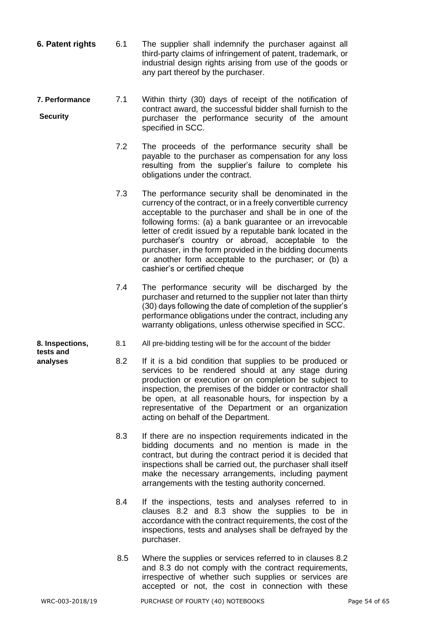- **6. Patent rights** 6.1 The supplier shall indemnify the purchaser against all third-party claims of infringement of patent, trademark, or industrial design rights arising from use of the goods or any part thereof by the purchaser.
- **7. Performance** 7.1 Within thirty (30) days of receipt of the notification of contract award, the successful bidder shall furnish to the purchaser the performance security of the amount specified in SCC. **Security**
	- 7.2 The proceeds of the performance security shall be payable to the purchaser as compensation for any loss resulting from the supplier's failure to complete his obligations under the contract.
	- 7.3 The performance security shall be denominated in the currency of the contract, or in a freely convertible currency acceptable to the purchaser and shall be in one of the following forms: (a) a bank guarantee or an irrevocable letter of credit issued by a reputable bank located in the purchaser's country or abroad, acceptable to the purchaser, in the form provided in the bidding documents or another form acceptable to the purchaser; or (b) a cashier's or certified cheque
	- 7.4 The performance security will be discharged by the purchaser and returned to the supplier not later than thirty (30) days following the date of completion of the supplier's performance obligations under the contract, including any warranty obligations, unless otherwise specified in SCC.
- **8. Inspections,** 8.1 All pre-bidding testing will be for the account of the bidder
- **analyses** 8.2 If it is a bid condition that supplies to be produced or services to be rendered should at any stage during production or execution or on completion be subject to inspection, the premises of the bidder or contractor shall be open, at all reasonable hours, for inspection by a representative of the Department or an organization acting on behalf of the Department.
	- 8.3 If there are no inspection requirements indicated in the bidding documents and no mention is made in the contract, but during the contract period it is decided that inspections shall be carried out, the purchaser shall itself make the necessary arrangements, including payment arrangements with the testing authority concerned.
	- 8.4 If the inspections, tests and analyses referred to in clauses 8.2 and 8.3 show the supplies to be in accordance with the contract requirements, the cost of the inspections, tests and analyses shall be defrayed by the purchaser.
	- 8.5 Where the supplies or services referred to in clauses 8.2 and 8.3 do not comply with the contract requirements, irrespective of whether such supplies or services are accepted or not, the cost in connection with these

**tests and**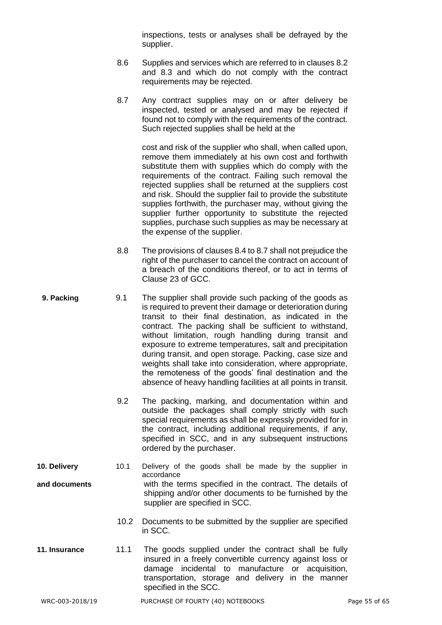inspections, tests or analyses shall be defrayed by the supplier.

- 8.6 Supplies and services which are referred to in clauses 8.2 and 8.3 and which do not comply with the contract requirements may be rejected.
- 8.7 Any contract supplies may on or after delivery be inspected, tested or analysed and may be rejected if found not to comply with the requirements of the contract. Such rejected supplies shall be held at the

cost and risk of the supplier who shall, when called upon, remove them immediately at his own cost and forthwith substitute them with supplies which do comply with the requirements of the contract. Failing such removal the rejected supplies shall be returned at the suppliers cost and risk. Should the supplier fail to provide the substitute supplies forthwith, the purchaser may, without giving the supplier further opportunity to substitute the rejected supplies, purchase such supplies as may be necessary at the expense of the supplier.

- 8.8 The provisions of clauses 8.4 to 8.7 shall not prejudice the right of the purchaser to cancel the contract on account of a breach of the conditions thereof, or to act in terms of Clause 23 of GCC.
- **9. Packing** 9.1 The supplier shall provide such packing of the goods as is required to prevent their damage or deterioration during transit to their final destination, as indicated in the contract. The packing shall be sufficient to withstand, without limitation, rough handling during transit and exposure to extreme temperatures, salt and precipitation during transit, and open storage. Packing, case size and weights shall take into consideration, where appropriate, the remoteness of the goods' final destination and the absence of heavy handling facilities at all points in transit.
	- 9.2 The packing, marking, and documentation within and outside the packages shall comply strictly with such special requirements as shall be expressly provided for in the contract, including additional requirements, if any, specified in SCC, and in any subsequent instructions ordered by the purchaser.
- **10. Delivery** 10.1 Delivery of the goods shall be made by the supplier in accordance **and documents** with the terms specified in the contract. The details of shipping and/or other documents to be furnished by the supplier are specified in SCC.
	- 10.2 Documents to be submitted by the supplier are specified in SCC.
- **11. Insurance** 11.1 The goods supplied under the contract shall be fully insured in a freely convertible currency against loss or damage incidental to manufacture or acquisition, transportation, storage and delivery in the manner specified in the SCC.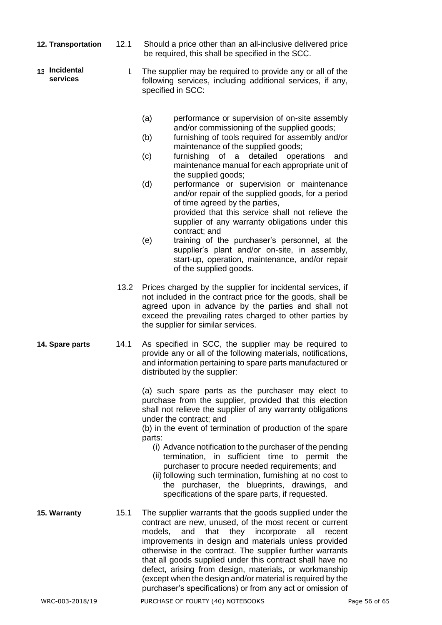- **12. Transportation** 12.1 Should a price other than an all-inclusive delivered price be required, this shall be specified in the SCC.
- 1 The supplier may be required to provide any or all of the following services, including additional services, if any, specified in SCC: **Incidental services**
	- (a) performance or supervision of on-site assembly and/or commissioning of the supplied goods;
	- (b) furnishing of tools required for assembly and/or maintenance of the supplied goods;
	- (c) furnishing of a detailed operations and maintenance manual for each appropriate unit of the supplied goods;
	- (d) performance or supervision or maintenance and/or repair of the supplied goods, for a period of time agreed by the parties, provided that this service shall not relieve the supplier of any warranty obligations under this contract; and
	- (e) training of the purchaser's personnel, at the supplier's plant and/or on-site, in assembly, start-up, operation, maintenance, and/or repair of the supplied goods.
	- 13.2 Prices charged by the supplier for incidental services, if not included in the contract price for the goods, shall be agreed upon in advance by the parties and shall not exceed the prevailing rates charged to other parties by the supplier for similar services.
- **14. Spare parts** 14.1 As specified in SCC, the supplier may be required to provide any or all of the following materials, notifications, and information pertaining to spare parts manufactured or distributed by the supplier:

(a) such spare parts as the purchaser may elect to purchase from the supplier, provided that this election shall not relieve the supplier of any warranty obligations under the contract; and

(b) in the event of termination of production of the spare parts:

- (i) Advance notification to the purchaser of the pending termination, in sufficient time to permit the purchaser to procure needed requirements; and
- (ii) following such termination, furnishing at no cost to the purchaser, the blueprints, drawings, and specifications of the spare parts, if requested.
- **15. Warranty** 15.1 The supplier warrants that the goods supplied under the contract are new, unused, of the most recent or current models, and that they incorporate all recent improvements in design and materials unless provided otherwise in the contract. The supplier further warrants that all goods supplied under this contract shall have no defect, arising from design, materials, or workmanship (except when the design and/or material is required by the purchaser's specifications) or from any act or omission of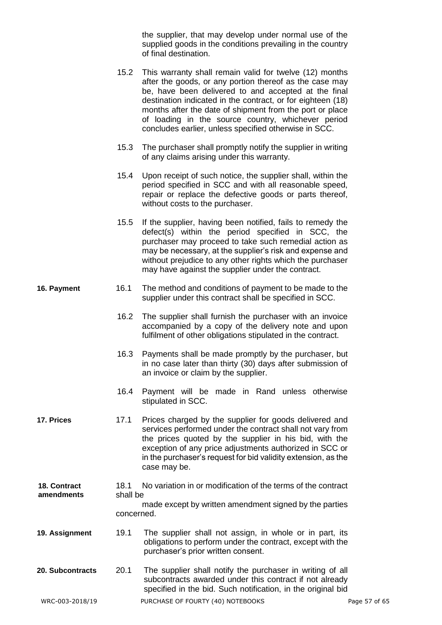the supplier, that may develop under normal use of the supplied goods in the conditions prevailing in the country of final destination.

- 15.2 This warranty shall remain valid for twelve (12) months after the goods, or any portion thereof as the case may be, have been delivered to and accepted at the final destination indicated in the contract, or for eighteen (18) months after the date of shipment from the port or place of loading in the source country, whichever period concludes earlier, unless specified otherwise in SCC.
- 15.3 The purchaser shall promptly notify the supplier in writing of any claims arising under this warranty.
- 15.4 Upon receipt of such notice, the supplier shall, within the period specified in SCC and with all reasonable speed, repair or replace the defective goods or parts thereof, without costs to the purchaser.
- 15.5 If the supplier, having been notified, fails to remedy the defect(s) within the period specified in SCC, the purchaser may proceed to take such remedial action as may be necessary, at the supplier's risk and expense and without prejudice to any other rights which the purchaser may have against the supplier under the contract.
- **16. Payment** 16.1 The method and conditions of payment to be made to the supplier under this contract shall be specified in SCC.
	- 16.2 The supplier shall furnish the purchaser with an invoice accompanied by a copy of the delivery note and upon fulfilment of other obligations stipulated in the contract.
	- 16.3 Payments shall be made promptly by the purchaser, but in no case later than thirty (30) days after submission of an invoice or claim by the supplier.
	- 16.4 Payment will be made in Rand unless otherwise stipulated in SCC.
- **17. Prices** 17.1 Prices charged by the supplier for goods delivered and services performed under the contract shall not vary from the prices quoted by the supplier in his bid, with the exception of any price adjustments authorized in SCC or in the purchaser's request for bid validity extension, as the case may be.
- 18.1 No variation in or modification of the terms of the contract shall be made except by written amendment signed by the parties concerned. **18. Contract amendments**
- **19. Assignment** 19.1 The supplier shall not assign, in whole or in part, its obligations to perform under the contract, except with the purchaser's prior written consent.
- **20. Subcontracts** 20.1 The supplier shall notify the purchaser in writing of all subcontracts awarded under this contract if not already specified in the bid. Such notification, in the original bid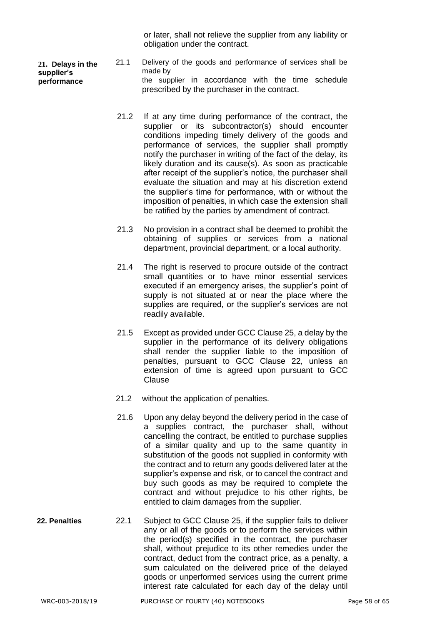or later, shall not relieve the supplier from any liability or obligation under the contract.

**21. Delays in the supplier's performance**

- 21.1 Delivery of the goods and performance of services shall be made by the supplier in accordance with the time schedule prescribed by the purchaser in the contract.
- 21.2 If at any time during performance of the contract, the supplier or its subcontractor(s) should encounter conditions impeding timely delivery of the goods and performance of services, the supplier shall promptly notify the purchaser in writing of the fact of the delay, its likely duration and its cause(s). As soon as practicable after receipt of the supplier's notice, the purchaser shall evaluate the situation and may at his discretion extend the supplier's time for performance, with or without the imposition of penalties, in which case the extension shall be ratified by the parties by amendment of contract.
- 21.3 No provision in a contract shall be deemed to prohibit the obtaining of supplies or services from a national department, provincial department, or a local authority.
- 21.4 The right is reserved to procure outside of the contract small quantities or to have minor essential services executed if an emergency arises, the supplier's point of supply is not situated at or near the place where the supplies are required, or the supplier's services are not readily available.
- 21.5 Except as provided under GCC Clause 25, a delay by the supplier in the performance of its delivery obligations shall render the supplier liable to the imposition of penalties, pursuant to GCC Clause 22, unless an extension of time is agreed upon pursuant to GCC Clause
- 21.2 without the application of penalties.
- 21.6 Upon any delay beyond the delivery period in the case of a supplies contract, the purchaser shall, without cancelling the contract, be entitled to purchase supplies of a similar quality and up to the same quantity in substitution of the goods not supplied in conformity with the contract and to return any goods delivered later at the supplier's expense and risk, or to cancel the contract and buy such goods as may be required to complete the contract and without prejudice to his other rights, be entitled to claim damages from the supplier.
- **22. Penalties** 22.1 Subject to GCC Clause 25, if the supplier fails to deliver any or all of the goods or to perform the services within the period(s) specified in the contract, the purchaser shall, without prejudice to its other remedies under the contract, deduct from the contract price, as a penalty, a sum calculated on the delivered price of the delayed goods or unperformed services using the current prime interest rate calculated for each day of the delay until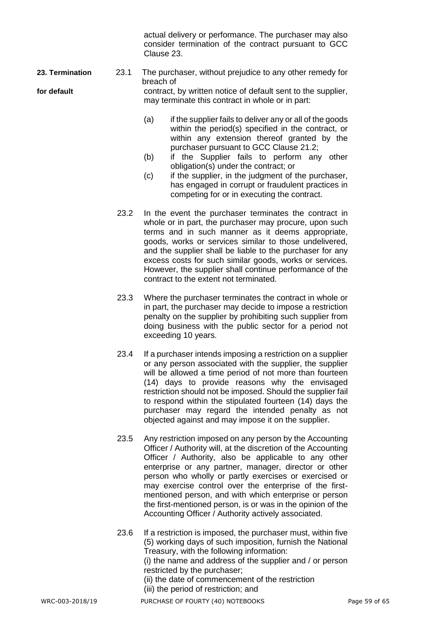actual delivery or performance. The purchaser may also consider termination of the contract pursuant to GCC Clause 23.

**23. Termination** 23.1 The purchaser, without prejudice to any other remedy for breach of **for default** contract, by written notice of default sent to the supplier, may terminate this contract in whole or in part:

- (a) if the supplier fails to deliver any or all of the goods within the period(s) specified in the contract, or within any extension thereof granted by the purchaser pursuant to GCC Clause 21.2;
- (b) if the Supplier fails to perform any other obligation(s) under the contract; or
- (c) if the supplier, in the judgment of the purchaser, has engaged in corrupt or fraudulent practices in competing for or in executing the contract.
- 23.2 In the event the purchaser terminates the contract in whole or in part, the purchaser may procure, upon such terms and in such manner as it deems appropriate, goods, works or services similar to those undelivered, and the supplier shall be liable to the purchaser for any excess costs for such similar goods, works or services. However, the supplier shall continue performance of the contract to the extent not terminated.
- 23.3 Where the purchaser terminates the contract in whole or in part, the purchaser may decide to impose a restriction penalty on the supplier by prohibiting such supplier from doing business with the public sector for a period not exceeding 10 years.
- 23.4 If a purchaser intends imposing a restriction on a supplier or any person associated with the supplier, the supplier will be allowed a time period of not more than fourteen (14) days to provide reasons why the envisaged restriction should not be imposed. Should the supplier fail to respond within the stipulated fourteen (14) days the purchaser may regard the intended penalty as not objected against and may impose it on the supplier.
- 23.5 Any restriction imposed on any person by the Accounting Officer / Authority will, at the discretion of the Accounting Officer / Authority, also be applicable to any other enterprise or any partner, manager, director or other person who wholly or partly exercises or exercised or may exercise control over the enterprise of the firstmentioned person, and with which enterprise or person the first-mentioned person, is or was in the opinion of the Accounting Officer / Authority actively associated.
- 23.6 If a restriction is imposed, the purchaser must, within five (5) working days of such imposition, furnish the National Treasury, with the following information: (i) the name and address of the supplier and / or person

restricted by the purchaser; (ii) the date of commencement of the restriction (iii) the period of restriction; and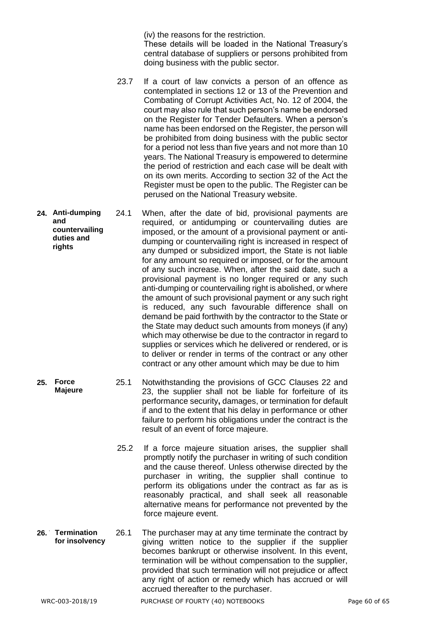(iv) the reasons for the restriction.

These details will be loaded in the National Treasury's central database of suppliers or persons prohibited from doing business with the public sector.

- 23.7 If a court of law convicts a person of an offence as contemplated in sections 12 or 13 of the Prevention and Combating of Corrupt Activities Act, No. 12 of 2004, the court may also rule that such person's name be endorsed on the Register for Tender Defaulters. When a person's name has been endorsed on the Register, the person will be prohibited from doing business with the public sector for a period not less than five years and not more than 10 years. The National Treasury is empowered to determine the period of restriction and each case will be dealt with on its own merits. According to section 32 of the Act the Register must be open to the public. The Register can be perused on the National Treasury website.
- **24.** 24.1 When, after the date of bid, provisional payments are required, or antidumping or countervailing duties are imposed, or the amount of a provisional payment or antidumping or countervailing right is increased in respect of any dumped or subsidized import, the State is not liable for any amount so required or imposed, or for the amount of any such increase. When, after the said date, such a provisional payment is no longer required or any such anti-dumping or countervailing right is abolished, or where the amount of such provisional payment or any such right is reduced, any such favourable difference shall on demand be paid forthwith by the contractor to the State or the State may deduct such amounts from moneys (if any) which may otherwise be due to the contractor in regard to supplies or services which he delivered or rendered, or is to deliver or render in terms of the contract or any other contract or any other amount which may be due to him **Anti-dumping and countervailing duties and rights**
	- **25.** 25.1 Notwithstanding the provisions of GCC Clauses 22 and 23, the supplier shall not be liable for forfeiture of its performance security**,** damages, or termination for default if and to the extent that his delay in performance or other failure to perform his obligations under the contract is the result of an event of force majeure. **Majeure**
		- 25.2 If a force majeure situation arises, the supplier shall promptly notify the purchaser in writing of such condition and the cause thereof. Unless otherwise directed by the purchaser in writing, the supplier shall continue to perform its obligations under the contract as far as is reasonably practical, and shall seek all reasonable alternative means for performance not prevented by the force majeure event.
- 26.1 The purchaser may at any time terminate the contract by giving written notice to the supplier if the supplier becomes bankrupt or otherwise insolvent. In this event, termination will be without compensation to the supplier, provided that such termination will not prejudice or affect any right of action or remedy which has accrued or will accrued thereafter to the purchaser. 26. Termination **for insolvency**

**Force**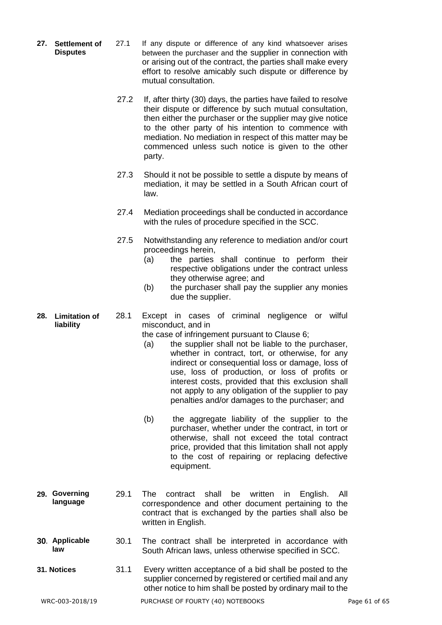- **27.** 27.1 If any dispute or difference of any kind whatsoever arises between the purchaser and the supplier in connection with or arising out of the contract, the parties shall make every effort to resolve amicably such dispute or difference by mutual consultation. 27. Settlement of **Disputes**
	- 27.2 If, after thirty (30) days, the parties have failed to resolve their dispute or difference by such mutual consultation, then either the purchaser or the supplier may give notice to the other party of his intention to commence with mediation. No mediation in respect of this matter may be commenced unless such notice is given to the other party.
	- 27.3 Should it not be possible to settle a dispute by means of mediation, it may be settled in a South African court of law.
	- 27.4 Mediation proceedings shall be conducted in accordance with the rules of procedure specified in the SCC.
	- 27.5 Notwithstanding any reference to mediation and/or court proceedings herein,
		- (a) the parties shall continue to perform their respective obligations under the contract unless they otherwise agree; and
		- (b) the purchaser shall pay the supplier any monies due the supplier.
- **28.** 28.1 Except in cases of criminal negligence or wilful misconduct, and in **Limitation of liability**

the case of infringement pursuant to Clause 6;

- (a) the supplier shall not be liable to the purchaser, whether in contract, tort, or otherwise, for any indirect or consequential loss or damage, loss of use, loss of production, or loss of profits or interest costs, provided that this exclusion shall not apply to any obligation of the supplier to pay penalties and/or damages to the purchaser; and
- (b) the aggregate liability of the supplier to the purchaser, whether under the contract, in tort or otherwise, shall not exceed the total contract price, provided that this limitation shall not apply to the cost of repairing or replacing defective equipment.
- **29.** 29.1 The contract shall be written in English. All correspondence and other document pertaining to the contract that is exchanged by the parties shall also be written in English. **Governing language**
- **30.** 30.1 The contract shall be interpreted in accordance with South African laws, unless otherwise specified in SCC. **Applicable law**
- **31. Notices** 31.1 Every written acceptance of a bid shall be posted to the supplier concerned by registered or certified mail and any other notice to him shall be posted by ordinary mail to the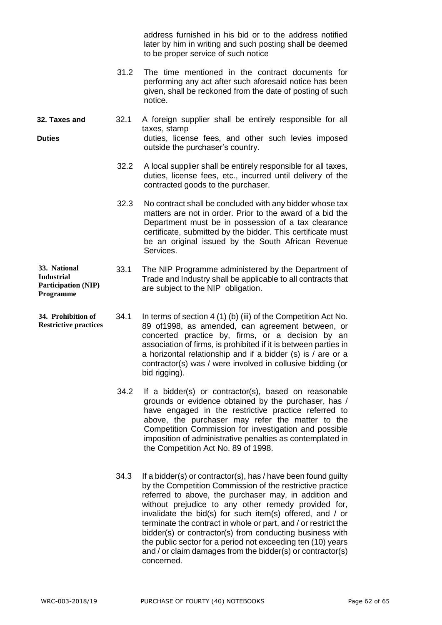address furnished in his bid or to the address notified later by him in writing and such posting shall be deemed to be proper service of such notice

- 31.2 The time mentioned in the contract documents for performing any act after such aforesaid notice has been given, shall be reckoned from the date of posting of such notice.
- **32. Taxes and** 32.1 A foreign supplier shall be entirely responsible for all taxes, stamp **Duties Duties Duties duties**, license fees, and other such levies imposed outside the purchaser's country.
	- 32.2 A local supplier shall be entirely responsible for all taxes, duties, license fees, etc., incurred until delivery of the contracted goods to the purchaser.
	- 32.3 No contract shall be concluded with any bidder whose tax matters are not in order. Prior to the award of a bid the Department must be in possession of a tax clearance certificate, submitted by the bidder. This certificate must be an original issued by the South African Revenue Services.
- 33.1 The NIP Programme administered by the Department of Trade and Industry shall be applicable to all contracts that are subject to the NIP obligation. **33. National Industrial Participation (NIP) Programme**
- 34.1 In terms of section 4 (1) (b) (iii) of the Competition Act No. 89 of1998, as amended, **c**an agreement between, or concerted practice by, firms, or a decision by an association of firms, is prohibited if it is between parties in a horizontal relationship and if a bidder (s) is / are or a contractor(s) was / were involved in collusive bidding (or bid rigging). **34. Prohibition of Restrictive practices**
	- 34.2 If a bidder(s) or contractor(s), based on reasonable grounds or evidence obtained by the purchaser, has / have engaged in the restrictive practice referred to above, the purchaser may refer the matter to the Competition Commission for investigation and possible imposition of administrative penalties as contemplated in the Competition Act No. 89 of 1998.
	- 34.3 If a bidder(s) or contractor(s), has / have been found guilty by the Competition Commission of the restrictive practice referred to above, the purchaser may, in addition and without prejudice to any other remedy provided for, invalidate the bid(s) for such item(s) offered, and / or terminate the contract in whole or part, and / or restrict the bidder(s) or contractor(s) from conducting business with the public sector for a period not exceeding ten (10) years and / or claim damages from the bidder(s) or contractor(s) concerned.